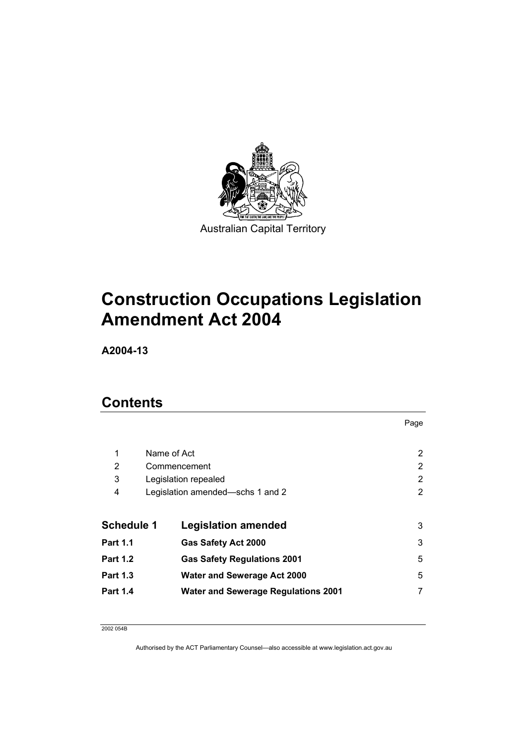

Australian Capital Territory

# **Construction Occupations Legislation Amendment Act 2004**

**A2004-13** 

## **Contents**

|                   |                                            | Page |
|-------------------|--------------------------------------------|------|
| 1                 | Name of Act                                | 2    |
| 2                 | Commencement                               | 2    |
| 3                 | Legislation repealed                       | 2    |
| 4                 | Legislation amended—schs 1 and 2           | 2    |
| <b>Schedule 1</b> | <b>Legislation amended</b>                 | 3    |
| <b>Part 1.1</b>   | <b>Gas Safety Act 2000</b>                 | 3    |
| <b>Part 1.2</b>   | <b>Gas Safety Regulations 2001</b>         | 5    |
| <b>Part 1.3</b>   | <b>Water and Sewerage Act 2000</b>         | 5    |
| Part 1.4          | <b>Water and Sewerage Regulations 2001</b> |      |

2002 054B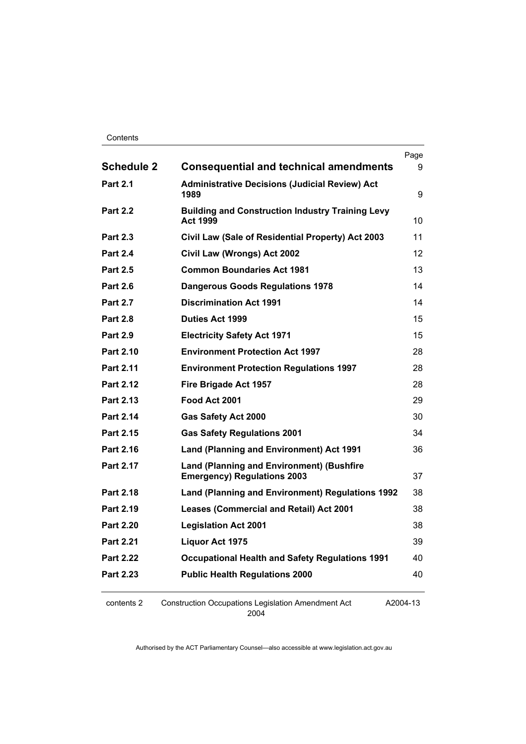#### Contents

|                   |                                                                                        | Page |
|-------------------|----------------------------------------------------------------------------------------|------|
| <b>Schedule 2</b> | <b>Consequential and technical amendments</b>                                          | 9    |
| <b>Part 2.1</b>   | <b>Administrative Decisions (Judicial Review) Act</b><br>1989                          | 9    |
| <b>Part 2.2</b>   | <b>Building and Construction Industry Training Levy</b><br><b>Act 1999</b>             | 10   |
| <b>Part 2.3</b>   | Civil Law (Sale of Residential Property) Act 2003                                      | 11   |
| <b>Part 2.4</b>   | Civil Law (Wrongs) Act 2002                                                            | 12   |
| <b>Part 2.5</b>   | <b>Common Boundaries Act 1981</b>                                                      | 13   |
| <b>Part 2.6</b>   | <b>Dangerous Goods Regulations 1978</b>                                                | 14   |
| <b>Part 2.7</b>   | <b>Discrimination Act 1991</b>                                                         | 14   |
| <b>Part 2.8</b>   | <b>Duties Act 1999</b>                                                                 | 15   |
| <b>Part 2.9</b>   | <b>Electricity Safety Act 1971</b>                                                     | 15   |
| <b>Part 2.10</b>  | <b>Environment Protection Act 1997</b>                                                 | 28   |
| <b>Part 2.11</b>  | <b>Environment Protection Regulations 1997</b>                                         | 28   |
| <b>Part 2.12</b>  | Fire Brigade Act 1957                                                                  | 28   |
| Part 2.13         | Food Act 2001                                                                          | 29   |
| Part 2.14         | Gas Safety Act 2000                                                                    | 30   |
| Part 2.15         | <b>Gas Safety Regulations 2001</b>                                                     | 34   |
| Part 2.16         | <b>Land (Planning and Environment) Act 1991</b>                                        | 36   |
| Part 2.17         | <b>Land (Planning and Environment) (Bushfire</b><br><b>Emergency) Regulations 2003</b> | 37   |
| <b>Part 2.18</b>  | Land (Planning and Environment) Regulations 1992                                       | 38   |
| Part 2.19         | <b>Leases (Commercial and Retail) Act 2001</b>                                         | 38   |
| <b>Part 2.20</b>  | <b>Legislation Act 2001</b>                                                            | 38   |
| <b>Part 2.21</b>  | Liquor Act 1975                                                                        | 39   |
| <b>Part 2.22</b>  | <b>Occupational Health and Safety Regulations 1991</b>                                 | 40   |
| <b>Part 2.23</b>  | <b>Public Health Regulations 2000</b>                                                  | 40   |
|                   |                                                                                        |      |

contents 2 Construction Occupations Legislation Amendment Act 2004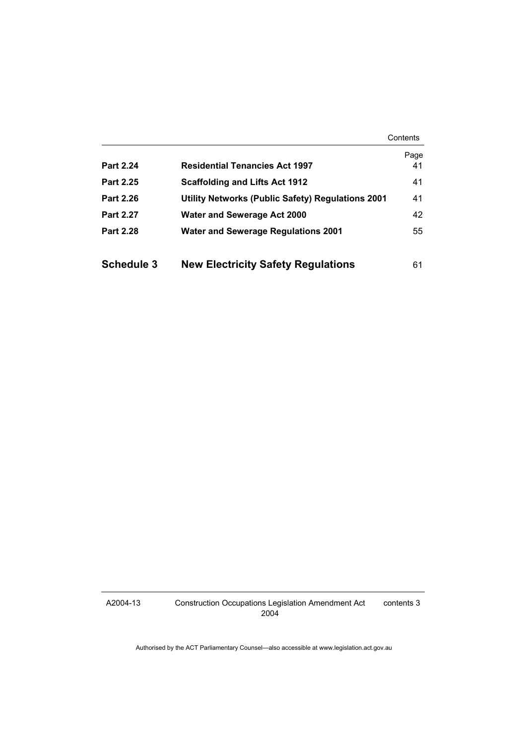Contents

|                   |                                                   | Page |
|-------------------|---------------------------------------------------|------|
| <b>Part 2.24</b>  | <b>Residential Tenancies Act 1997</b>             | 41   |
| <b>Part 2.25</b>  | <b>Scaffolding and Lifts Act 1912</b>             | 41   |
| <b>Part 2.26</b>  | Utility Networks (Public Safety) Regulations 2001 | 41   |
| <b>Part 2.27</b>  | <b>Water and Sewerage Act 2000</b>                | 42   |
| <b>Part 2.28</b>  | <b>Water and Sewerage Regulations 2001</b>        | 55   |
|                   |                                                   |      |
| <b>Schedule 3</b> | <b>New Electricity Safety Regulations</b>         | 61   |

A2004-13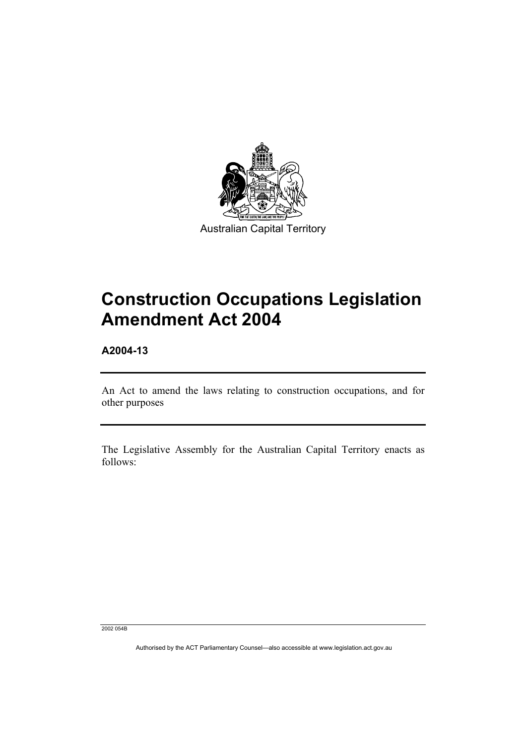

Australian Capital Territory

# **Construction Occupations Legislation Amendment Act 2004**

**A2004-13** 

An Act to amend the laws relating to construction occupations, and for other purposes

The Legislative Assembly for the Australian Capital Territory enacts as follows:

2002 054B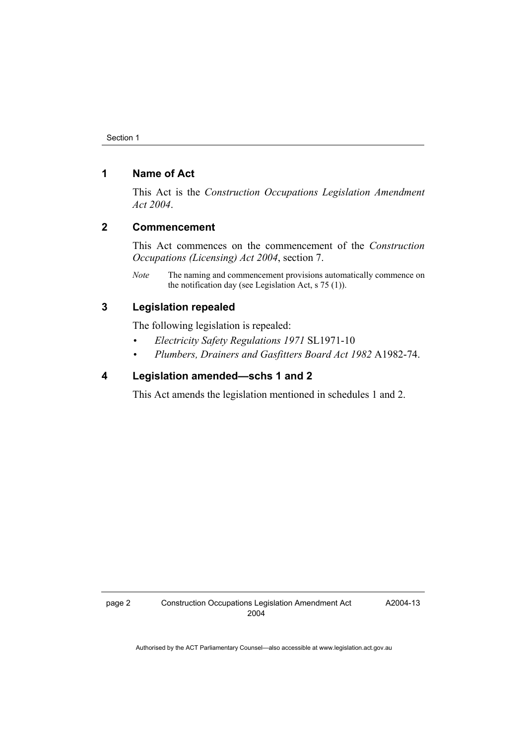## **1 Name of Act**

This Act is the *Construction Occupations Legislation Amendment Act 2004*.

## **2 Commencement**

This Act commences on the commencement of the *Construction Occupations (Licensing) Act 2004*, section 7.

*Note* The naming and commencement provisions automatically commence on the notification day (see Legislation Act, s 75 (1)).

## **3 Legislation repealed**

The following legislation is repealed:

- *Electricity Safety Regulations 1971* SL1971-10
- *Plumbers, Drainers and Gasfitters Board Act 1982* A1982-74.

### **4 Legislation amended—schs 1 and 2**

This Act amends the legislation mentioned in schedules 1 and 2.

A2004-13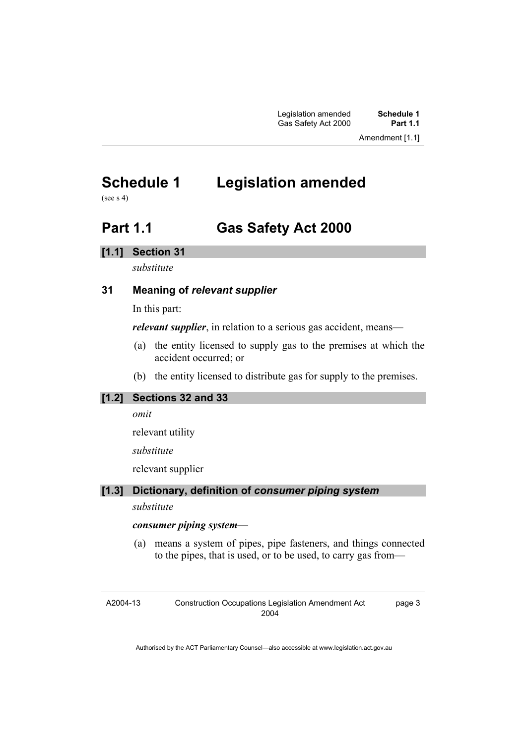## **Schedule 1 Legislation amended**

(see  $s$  4)

## **Part 1.1 Gas Safety Act 2000**

### **[1.1] Section 31**

*substitute* 

## **31 Meaning of** *relevant supplier*

In this part:

*relevant supplier*, in relation to a serious gas accident, means—

- (a) the entity licensed to supply gas to the premises at which the accident occurred; or
- (b) the entity licensed to distribute gas for supply to the premises.

## **[1.2] Sections 32 and 33**

*omit* 

relevant utility

*substitute* 

relevant supplier

## **[1.3] Dictionary, definition of** *consumer piping system*

*substitute* 

### *consumer piping system*—

 (a) means a system of pipes, pipe fasteners, and things connected to the pipes, that is used, or to be used, to carry gas from—

A2004-13 Construction Occupations Legislation Amendment Act 2004 page 3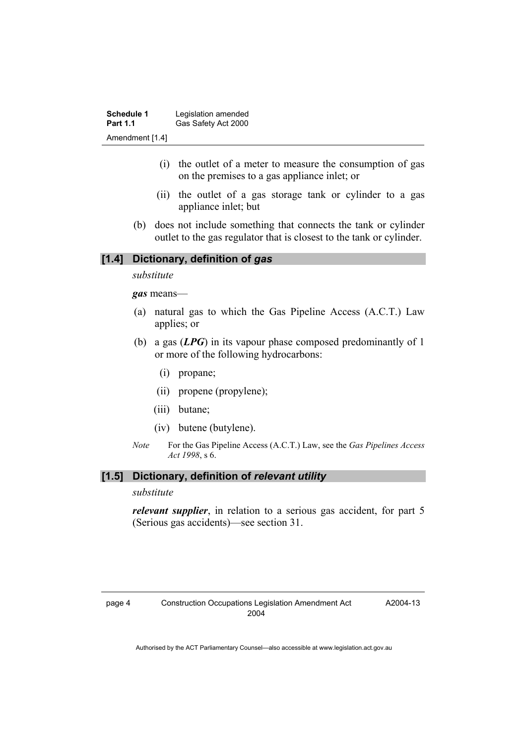| <b>Schedule 1</b> | Legislation amended |
|-------------------|---------------------|
| <b>Part 1.1</b>   | Gas Safety Act 2000 |
| Amendment [1.4]   |                     |

- (i) the outlet of a meter to measure the consumption of gas on the premises to a gas appliance inlet; or
- (ii) the outlet of a gas storage tank or cylinder to a gas appliance inlet; but
- (b) does not include something that connects the tank or cylinder outlet to the gas regulator that is closest to the tank or cylinder.

#### **[1.4] Dictionary, definition of** *gas*

*substitute* 

*gas* means—

- (a) natural gas to which the Gas Pipeline Access (A.C.T.) Law applies; or
- (b) a gas (*LPG*) in its vapour phase composed predominantly of 1 or more of the following hydrocarbons:
	- (i) propane;
	- (ii) propene (propylene);
	- (iii) butane;
	- (iv) butene (butylene).
- *Note* For the Gas Pipeline Access (A.C.T.) Law, see the *Gas Pipelines Access Act 1998*, s 6.

#### **[1.5] Dictionary, definition of** *relevant utility*

*substitute* 

*relevant supplier*, in relation to a serious gas accident, for part 5 (Serious gas accidents)—see section 31.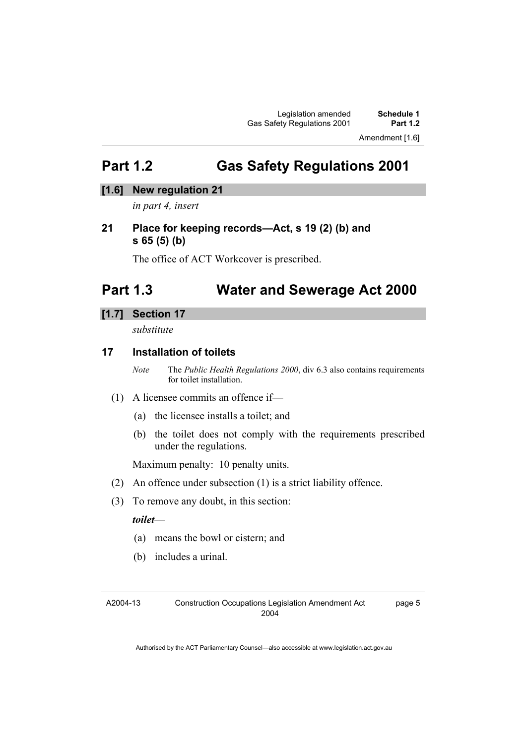Amendment [1.6]

## **Part 1.2 Gas Safety Regulations 2001**

## **[1.6] New regulation 21**

*in part 4, insert* 

## **21 Place for keeping records—Act, s 19 (2) (b) and s 65 (5) (b)**

The office of ACT Workcover is prescribed.

## **Part 1.3 Water and Sewerage Act 2000**

## **[1.7] Section 17**

*substitute* 

## **17 Installation of toilets**

*Note* The *Public Health Regulations 2000*, div 6.3 also contains requirements for toilet installation.

### (1) A licensee commits an offence if—

- (a) the licensee installs a toilet; and
- (b) the toilet does not comply with the requirements prescribed under the regulations.

Maximum penalty: 10 penalty units.

- (2) An offence under subsection (1) is a strict liability offence.
- (3) To remove any doubt, in this section:

### *toilet*—

- (a) means the bowl or cistern; and
- (b) includes a urinal.

A2004-13

page 5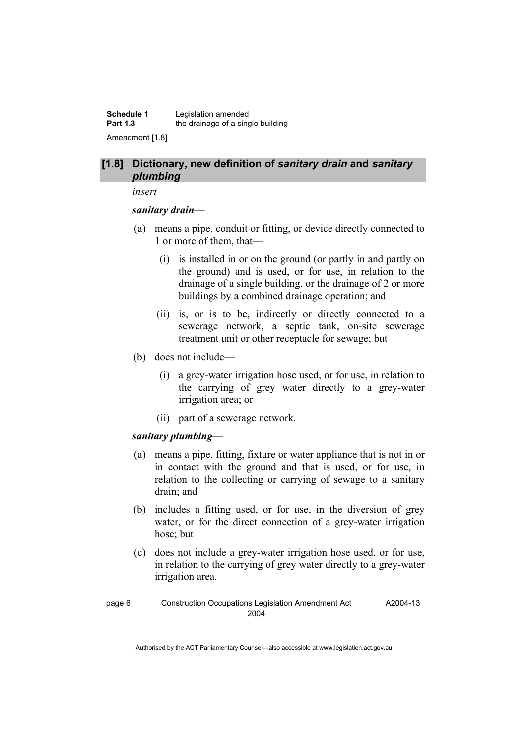**Schedule 1** Legislation amended **Part 1.3 the drainage of a single building** Amendment [1.8]

#### **[1.8] Dictionary, new definition of** *sanitary drain* **and** *sanitary plumbing*

#### *insert*

#### *sanitary drain*—

- (a) means a pipe, conduit or fitting, or device directly connected to 1 or more of them, that—
	- (i) is installed in or on the ground (or partly in and partly on the ground) and is used, or for use, in relation to the drainage of a single building, or the drainage of 2 or more buildings by a combined drainage operation; and
	- (ii) is, or is to be, indirectly or directly connected to a sewerage network, a septic tank, on-site sewerage treatment unit or other receptacle for sewage; but
- (b) does not include—
	- (i) a grey-water irrigation hose used, or for use, in relation to the carrying of grey water directly to a grey-water irrigation area; or
	- (ii) part of a sewerage network.

### *sanitary plumbing*—

- (a) means a pipe, fitting, fixture or water appliance that is not in or in contact with the ground and that is used, or for use, in relation to the collecting or carrying of sewage to a sanitary drain; and
- (b) includes a fitting used, or for use, in the diversion of grey water, or for the direct connection of a grey-water irrigation hose; but
- (c) does not include a grey-water irrigation hose used, or for use, in relation to the carrying of grey water directly to a grey-water irrigation area.

A2004-13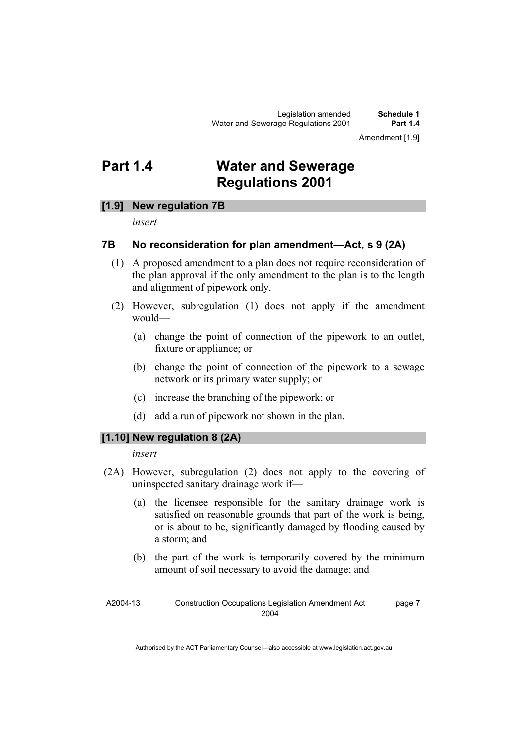## **Part 1.4 Water and Sewerage Regulations 2001**

### **[1.9] New regulation 7B**

*insert* 

## **7B No reconsideration for plan amendment—Act, s 9 (2A)**

- (1) A proposed amendment to a plan does not require reconsideration of the plan approval if the only amendment to the plan is to the length and alignment of pipework only.
- (2) However, subregulation (1) does not apply if the amendment would—
	- (a) change the point of connection of the pipework to an outlet, fixture or appliance; or
	- (b) change the point of connection of the pipework to a sewage network or its primary water supply; or
	- (c) increase the branching of the pipework; or
	- (d) add a run of pipework not shown in the plan.

### **[1.10] New regulation 8 (2A)**

#### *insert*

- (2A) However, subregulation (2) does not apply to the covering of uninspected sanitary drainage work if—
	- (a) the licensee responsible for the sanitary drainage work is satisfied on reasonable grounds that part of the work is being, or is about to be, significantly damaged by flooding caused by a storm; and
	- (b) the part of the work is temporarily covered by the minimum amount of soil necessary to avoid the damage; and

A2004-13 Construction Occupations Legislation Amendment Act 2004 page 7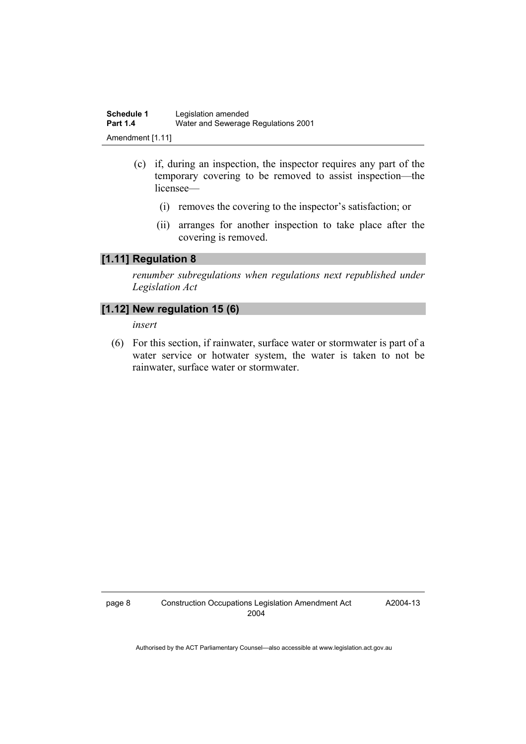- (c) if, during an inspection, the inspector requires any part of the temporary covering to be removed to assist inspection—the licensee—
	- (i) removes the covering to the inspector's satisfaction; or
	- (ii) arranges for another inspection to take place after the covering is removed.

## **[1.11] Regulation 8**

*renumber subregulations when regulations next republished under Legislation Act* 

### **[1.12] New regulation 15 (6)**

*insert* 

 (6) For this section, if rainwater, surface water or stormwater is part of a water service or hotwater system, the water is taken to not be rainwater, surface water or stormwater.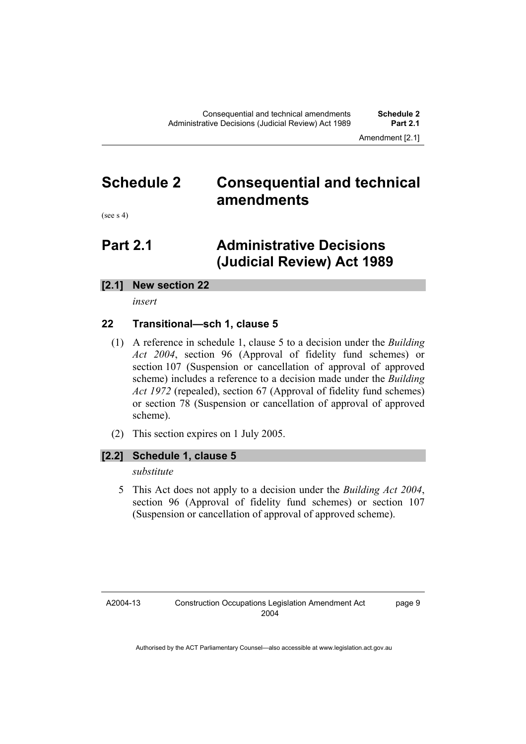Amendment [2.1]

## **Schedule 2 Consequential and technical amendments**

(see s 4)

## **Part 2.1 Administrative Decisions (Judicial Review) Act 1989**

## **[2.1] New section 22**

*insert* 

## **22 Transitional—sch 1, clause 5**

- (1) A reference in schedule 1, clause 5 to a decision under the *Building Act 2004*, section 96 (Approval of fidelity fund schemes) or section 107 (Suspension or cancellation of approval of approved scheme) includes a reference to a decision made under the *Building Act 1972* (repealed), section 67 (Approval of fidelity fund schemes) or section 78 (Suspension or cancellation of approval of approved scheme).
- (2) This section expires on 1 July 2005.

### **[2.2] Schedule 1, clause 5**

*substitute* 

 5 This Act does not apply to a decision under the *Building Act 2004*, section 96 (Approval of fidelity fund schemes) or section 107 (Suspension or cancellation of approval of approved scheme).

A2004-13

page 9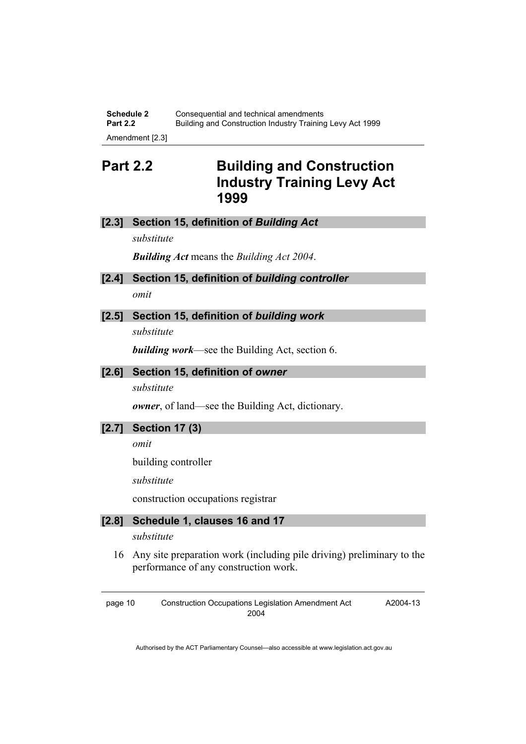**Schedule 2 Consequential and technical amendments**<br>**Part 2.2 Building and Construction Industry Training Part 2.2** Building and Construction Industry Training Levy Act 1999 Amendment [2.3]

**Part 2.2 Building and Construction Industry Training Levy Act 1999** 

#### **[2.3] Section 15, definition of** *Building Act*

*substitute* 

*Building Act* means the *Building Act 2004*.

- **[2.4] Section 15, definition of** *building controller omit*
- **[2.5] Section 15, definition of** *building work*

*substitute* 

*building work*—see the Building Act, section 6.

### **[2.6] Section 15, definition of** *owner*

*substitute* 

*owner*, of land—see the Building Act, dictionary.

**[2.7] Section 17 (3)** 

*omit* 

building controller

*substitute* 

construction occupations registrar

## **[2.8] Schedule 1, clauses 16 and 17**

*substitute* 

 16 Any site preparation work (including pile driving) preliminary to the performance of any construction work.

page 10 Construction Occupations Legislation Amendment Act 2004

A2004-13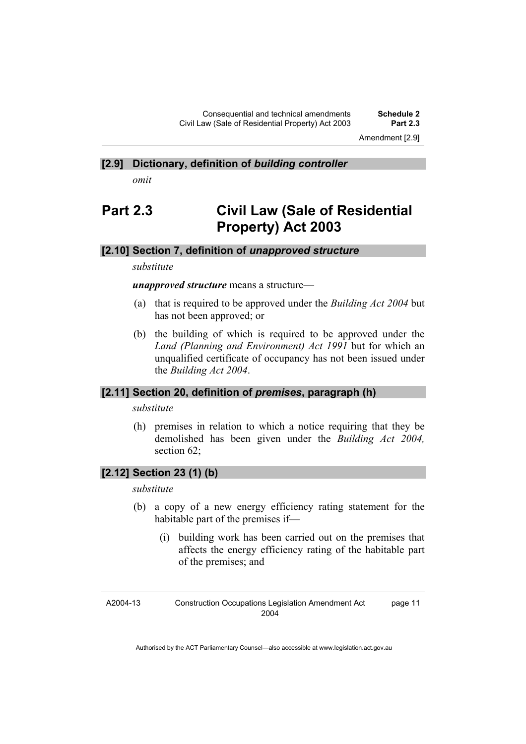Amendment [2.9]

#### **[2.9] Dictionary, definition of** *building controller*

*omit* 

## **Part 2.3 Civil Law (Sale of Residential Property) Act 2003**

#### **[2.10] Section 7, definition of** *unapproved structure*

#### *substitute*

*unapproved structure* means a structure—

- (a) that is required to be approved under the *Building Act 2004* but has not been approved; or
- (b) the building of which is required to be approved under the *Land (Planning and Environment) Act 1991* but for which an unqualified certificate of occupancy has not been issued under the *Building Act 2004*.

#### **[2.11] Section 20, definition of** *premises***, paragraph (h)**

*substitute* 

 (h) premises in relation to which a notice requiring that they be demolished has been given under the *Building Act 2004,* section 62:

### **[2.12] Section 23 (1) (b)**

#### *substitute*

- (b) a copy of a new energy efficiency rating statement for the habitable part of the premises if—
	- (i) building work has been carried out on the premises that affects the energy efficiency rating of the habitable part of the premises; and

A2004-13 Construction Occupations Legislation Amendment Act 2004 page 11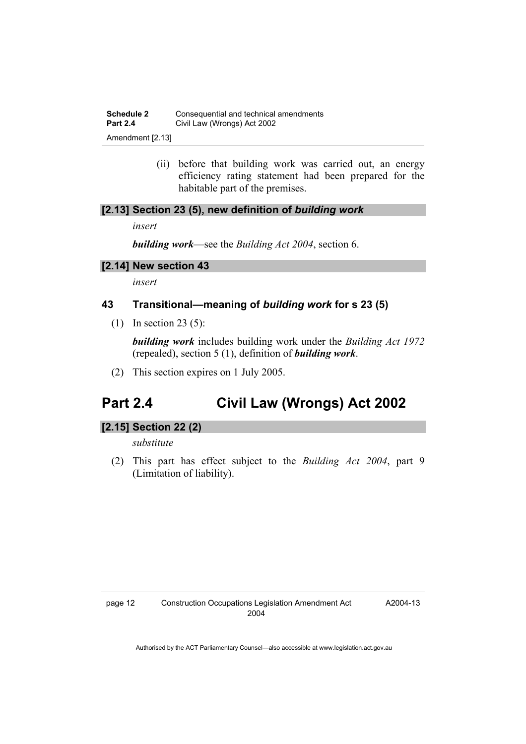**Schedule 2 Consequential and technical amendments**<br>**Part 2.4** *Civil Law (Wrongs) Act 2002* **Civil Law (Wrongs) Act 2002** 

Amendment [2.13]

 (ii) before that building work was carried out, an energy efficiency rating statement had been prepared for the habitable part of the premises.

### **[2.13] Section 23 (5), new definition of** *building work*

*insert* 

*building work*—see the *Building Act 2004*, section 6.

#### **[2.14] New section 43**

*insert* 

### **43 Transitional—meaning of** *building work* **for s 23 (5)**

(1) In section 23 (5):

*building work* includes building work under the *Building Act 1972* (repealed), section 5 (1), definition of *building work*.

(2) This section expires on 1 July 2005.

## **Part 2.4 Civil Law (Wrongs) Act 2002**

### **[2.15] Section 22 (2)**

*substitute* 

 (2) This part has effect subject to the *Building Act 2004*, part 9 (Limitation of liability).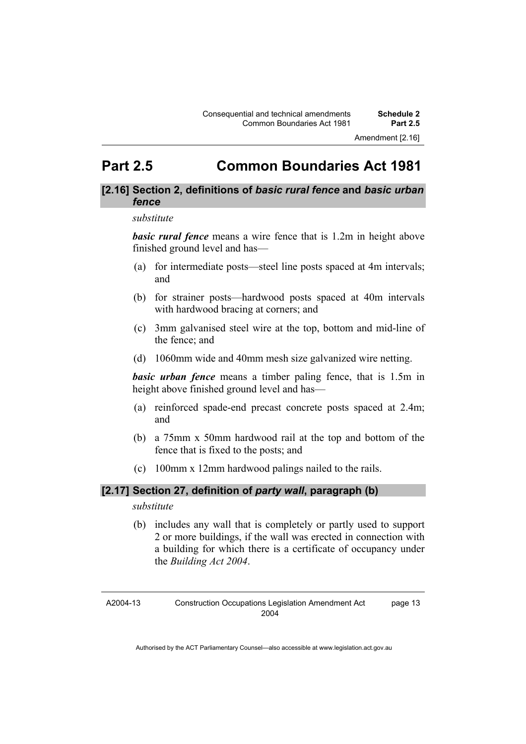## **Part 2.5 Common Boundaries Act 1981**

### **[2.16] Section 2, definitions of** *basic rural fence* **and** *basic urban fence*

#### *substitute*

*basic rural fence* means a wire fence that is 1.2m in height above finished ground level and has—

- (a) for intermediate posts—steel line posts spaced at 4m intervals; and
- (b) for strainer posts—hardwood posts spaced at 40m intervals with hardwood bracing at corners; and
- (c) 3mm galvanised steel wire at the top, bottom and mid-line of the fence; and
- (d) 1060mm wide and 40mm mesh size galvanized wire netting.

*basic urban fence* means a timber paling fence, that is 1.5m in height above finished ground level and has—

- (a) reinforced spade-end precast concrete posts spaced at 2.4m; and
- (b) a 75mm x 50mm hardwood rail at the top and bottom of the fence that is fixed to the posts; and
- (c) 100mm x 12mm hardwood palings nailed to the rails.

## **[2.17] Section 27, definition of** *party wall***, paragraph (b)**

#### *substitute*

 (b) includes any wall that is completely or partly used to support 2 or more buildings, if the wall was erected in connection with a building for which there is a certificate of occupancy under the *Building Act 2004*.

A2004-13

page 13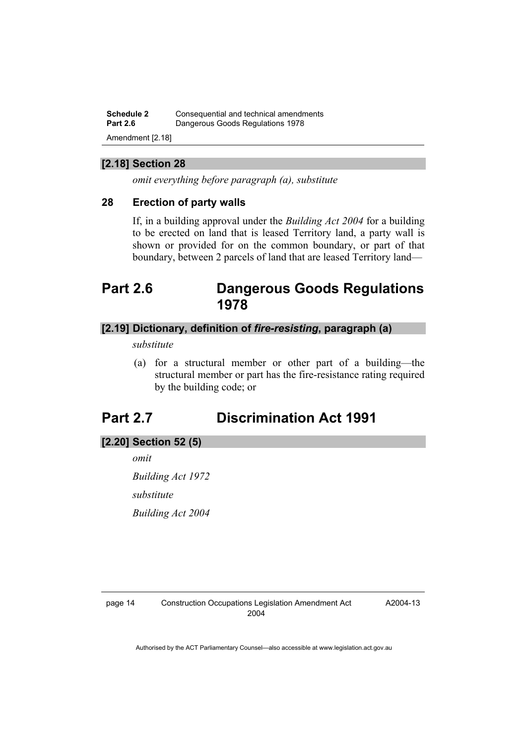**Schedule 2 Consequential and technical amendments**<br>**Part 2.6 Dangerous Goods Requistions 1978 Part 2.6** Dangerous Goods Regulations 1978 Amendment [2.18]

### **[2.18] Section 28**

*omit everything before paragraph (a), substitute* 

### **28 Erection of party walls**

If, in a building approval under the *Building Act 2004* for a building to be erected on land that is leased Territory land, a party wall is shown or provided for on the common boundary, or part of that boundary, between 2 parcels of land that are leased Territory land—

## **Part 2.6 Dangerous Goods Regulations 1978**

## **[2.19] Dictionary, definition of** *fire-resisting***, paragraph (a)**

*substitute* 

 (a) for a structural member or other part of a building—the structural member or part has the fire-resistance rating required by the building code; or

## **Part 2.7 Discrimination Act 1991**

#### **[2.20] Section 52 (5)**

*omit* 

*Building Act 1972 substitute Building Act 2004* 

A2004-13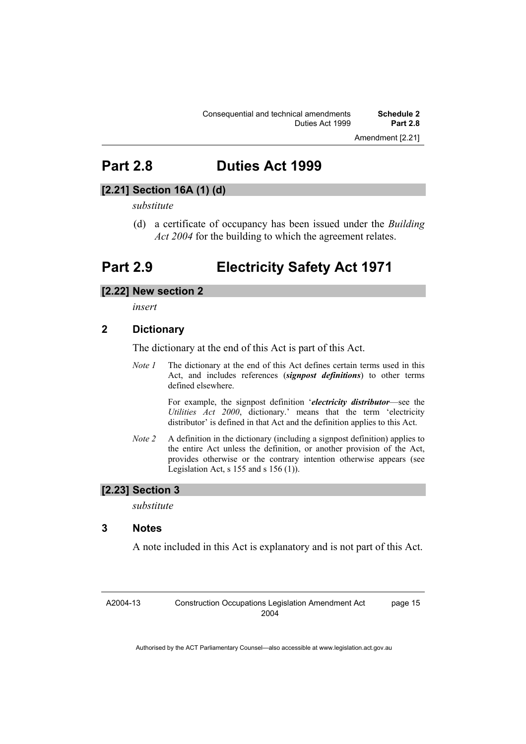## **Part 2.8 Duties Act 1999**

## **[2.21] Section 16A (1) (d)**

#### *substitute*

 (d) a certificate of occupancy has been issued under the *Building Act 2004* for the building to which the agreement relates.

## **Part 2.9 Electricity Safety Act 1971**

#### **[2.22] New section 2**

*insert* 

#### **2 Dictionary**

The dictionary at the end of this Act is part of this Act.

*Note 1* The dictionary at the end of this Act defines certain terms used in this Act, and includes references (*signpost definitions*) to other terms defined elsewhere.

> For example, the signpost definition '*electricity distributor*—see the *Utilities Act 2000*, dictionary.' means that the term 'electricity distributor' is defined in that Act and the definition applies to this Act.

*Note 2* A definition in the dictionary (including a signpost definition) applies to the entire Act unless the definition, or another provision of the Act, provides otherwise or the contrary intention otherwise appears (see Legislation Act, s  $155$  and s  $156$  (1)).

### **[2.23] Section 3**

*substitute* 

#### **3 Notes**

A note included in this Act is explanatory and is not part of this Act.

A2004-13 Construction Occupations Legislation Amendment Act 2004

page 15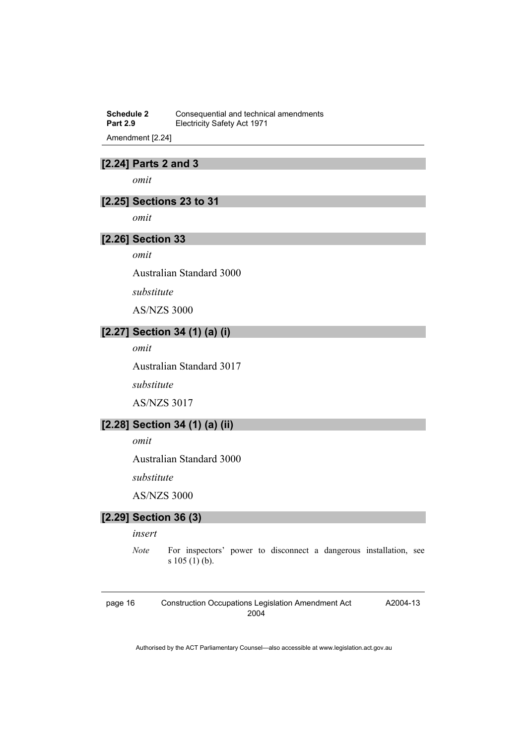**Schedule 2 Consequential and technical amendments**<br>**Part 2.9 Electricity Safety Act 1971 Electricity Safety Act 1971** 

Amendment [2.24]

## **[2.24] Parts 2 and 3**

*omit* 

### **[2.25] Sections 23 to 31**

*omit* 

#### **[2.26] Section 33**

*omit* 

Australian Standard 3000

*substitute* 

AS/NZS 3000

## **[2.27] Section 34 (1) (a) (i)**

*omit* 

Australian Standard 3017

*substitute* 

AS/NZS 3017

## **[2.28] Section 34 (1) (a) (ii)**

*omit* 

Australian Standard 3000

*substitute* 

AS/NZS 3000

## **[2.29] Section 36 (3)**

*insert* 

*Note* For inspectors' power to disconnect a dangerous installation, see s 105 (1) (b).

page 16 Construction Occupations Legislation Amendment Act 2004

A2004-13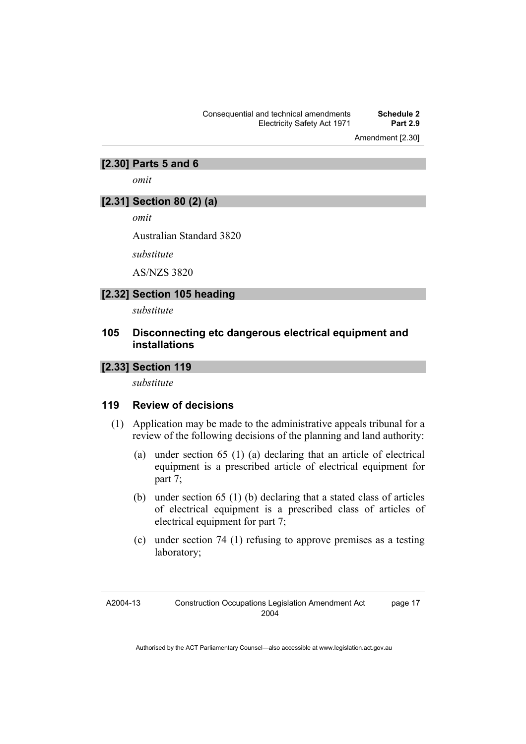Consequential and technical amendments **Schedule 2 Electricity Safety Act 1971** 

Amendment [2.30]

#### **[2.30] Parts 5 and 6**

*omit* 

## **[2.31] Section 80 (2) (a)**

*omit* 

Australian Standard 3820

*substitute* 

AS/NZS 3820

#### **[2.32] Section 105 heading**

*substitute* 

### **105 Disconnecting etc dangerous electrical equipment and installations**

### **[2.33] Section 119**

*substitute* 

#### **119 Review of decisions**

- (1) Application may be made to the administrative appeals tribunal for a review of the following decisions of the planning and land authority:
	- (a) under section 65 (1) (a) declaring that an article of electrical equipment is a prescribed article of electrical equipment for part 7;
	- (b) under section 65 (1) (b) declaring that a stated class of articles of electrical equipment is a prescribed class of articles of electrical equipment for part 7;
	- (c) under section 74 (1) refusing to approve premises as a testing laboratory;

A2004-13

page 17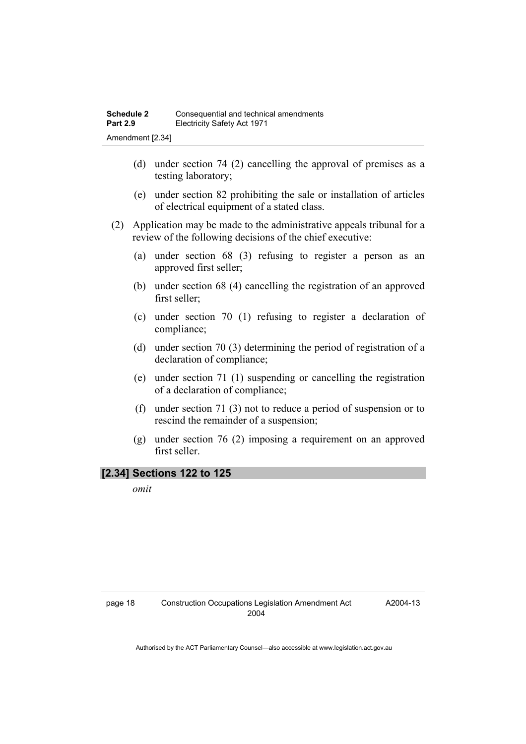- (d) under section 74 (2) cancelling the approval of premises as a testing laboratory;
- (e) under section 82 prohibiting the sale or installation of articles of electrical equipment of a stated class.
- (2) Application may be made to the administrative appeals tribunal for a review of the following decisions of the chief executive:
	- (a) under section 68 (3) refusing to register a person as an approved first seller;
	- (b) under section 68 (4) cancelling the registration of an approved first seller;
	- (c) under section 70 (1) refusing to register a declaration of compliance;
	- (d) under section 70 (3) determining the period of registration of a declaration of compliance;
	- (e) under section 71 (1) suspending or cancelling the registration of a declaration of compliance;
	- (f) under section 71 (3) not to reduce a period of suspension or to rescind the remainder of a suspension;
	- (g) under section 76 (2) imposing a requirement on an approved first seller.

### **[2.34] Sections 122 to 125**

*omit*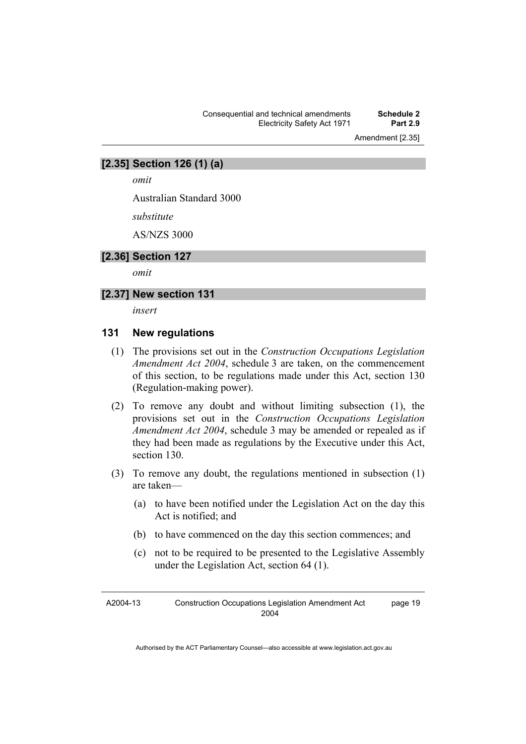Consequential and technical amendments **Schedule 2**  Electricity Safety Act 1971 **Part 2.9** 

Amendment [2.35]

#### **[2.35] Section 126 (1) (a)**

*omit* 

Australian Standard 3000

*substitute* 

AS/NZS 3000

#### **[2.36] Section 127**

*omit* 

### **[2.37] New section 131**

*insert* 

#### **131 New regulations**

- (1) The provisions set out in the *Construction Occupations Legislation Amendment Act 2004*, schedule 3 are taken, on the commencement of this section, to be regulations made under this Act, section 130 (Regulation-making power).
- (2) To remove any doubt and without limiting subsection (1), the provisions set out in the *Construction Occupations Legislation Amendment Act 2004*, schedule 3 may be amended or repealed as if they had been made as regulations by the Executive under this Act, section 130.
- (3) To remove any doubt, the regulations mentioned in subsection (1) are taken—
	- (a) to have been notified under the Legislation Act on the day this Act is notified; and
	- (b) to have commenced on the day this section commences; and
	- (c) not to be required to be presented to the Legislative Assembly under the Legislation Act, section 64 (1).

A2004-13 Construction Occupations Legislation Amendment Act 2004 page 19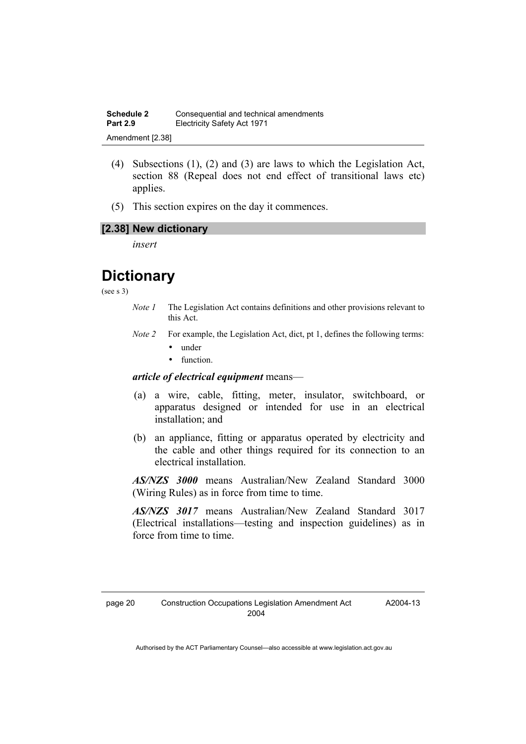- (4) Subsections (1), (2) and (3) are laws to which the Legislation Act, section 88 (Repeal does not end effect of transitional laws etc) applies.
- (5) This section expires on the day it commences.

## **[2.38] New dictionary**

*insert* 

## **Dictionary**

(see s 3)

- *Note 1* The Legislation Act contains definitions and other provisions relevant to this Act.
- *Note 2* For example, the Legislation Act, dict, pt 1, defines the following terms:
	- under
	- function.

#### *article of electrical equipment* means—

- (a) a wire, cable, fitting, meter, insulator, switchboard, or apparatus designed or intended for use in an electrical installation; and
- (b) an appliance, fitting or apparatus operated by electricity and the cable and other things required for its connection to an electrical installation.

*AS/NZS 3000* means Australian/New Zealand Standard 3000 (Wiring Rules) as in force from time to time.

*AS/NZS 3017* means Australian/New Zealand Standard 3017 (Electrical installations—testing and inspection guidelines) as in force from time to time.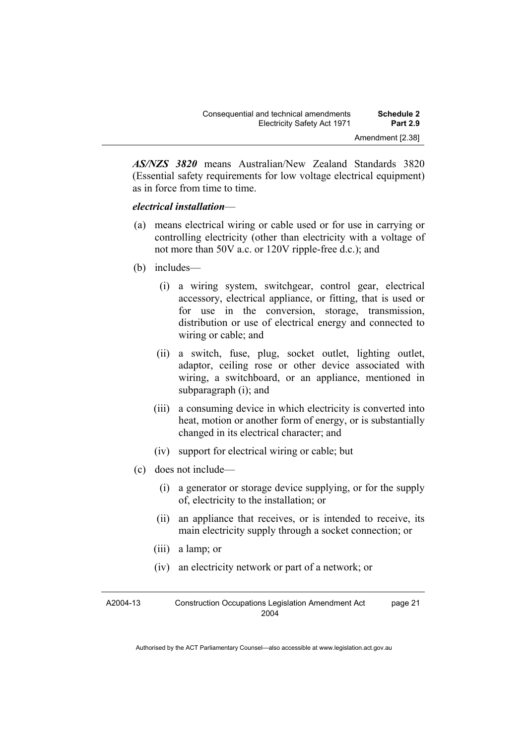*AS/NZS 3820* means Australian/New Zealand Standards 3820 (Essential safety requirements for low voltage electrical equipment) as in force from time to time.

#### *electrical installation*—

- (a) means electrical wiring or cable used or for use in carrying or controlling electricity (other than electricity with a voltage of not more than 50V a.c. or 120V ripple-free d.c.); and
- (b) includes—
	- (i) a wiring system, switchgear, control gear, electrical accessory, electrical appliance, or fitting, that is used or for use in the conversion, storage, transmission, distribution or use of electrical energy and connected to wiring or cable; and
	- (ii) a switch, fuse, plug, socket outlet, lighting outlet, adaptor, ceiling rose or other device associated with wiring, a switchboard, or an appliance, mentioned in subparagraph (i); and
	- (iii) a consuming device in which electricity is converted into heat, motion or another form of energy, or is substantially changed in its electrical character; and
	- (iv) support for electrical wiring or cable; but
- (c) does not include—
	- (i) a generator or storage device supplying, or for the supply of, electricity to the installation; or
	- (ii) an appliance that receives, or is intended to receive, its main electricity supply through a socket connection; or
	- (iii) a lamp; or
	- (iv) an electricity network or part of a network; or

| A2004-13 | <b>Construction Occupations Legislation Amendment Act</b> | page 21 |
|----------|-----------------------------------------------------------|---------|
|          | 2004                                                      |         |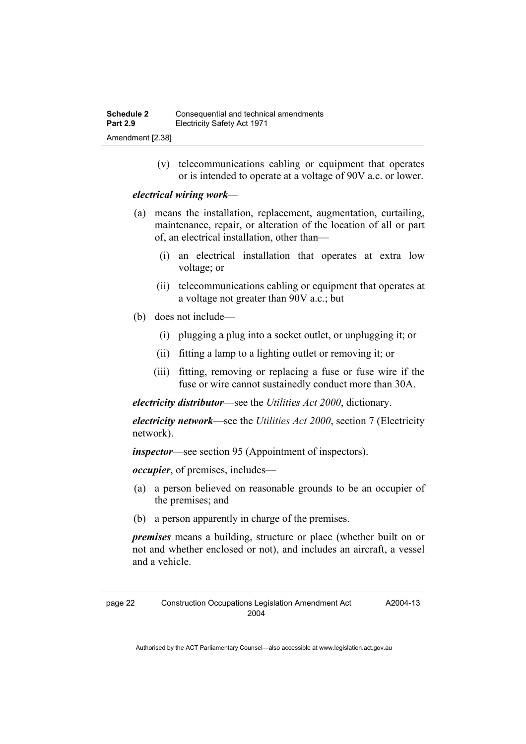(v) telecommunications cabling or equipment that operates or is intended to operate at a voltage of 90V a.c. or lower.

#### *electrical wiring work—*

- (a) means the installation, replacement, augmentation, curtailing, maintenance, repair, or alteration of the location of all or part of, an electrical installation, other than—
	- (i) an electrical installation that operates at extra low voltage; or
	- (ii) telecommunications cabling or equipment that operates at a voltage not greater than 90V a.c.; but
- (b) does not include—
	- (i) plugging a plug into a socket outlet, or unplugging it; or
	- (ii) fitting a lamp to a lighting outlet or removing it; or
	- (iii) fitting, removing or replacing a fuse or fuse wire if the fuse or wire cannot sustainedly conduct more than 30A.

*electricity distributor*—see the *Utilities Act 2000*, dictionary.

*electricity network*—see the *Utilities Act 2000*, section 7 (Electricity network).

*inspector*—see section 95 (Appointment of inspectors).

*occupier*, of premises, includes—

- (a) a person believed on reasonable grounds to be an occupier of the premises; and
- (b) a person apparently in charge of the premises.

*premises* means a building, structure or place (whether built on or not and whether enclosed or not), and includes an aircraft, a vessel and a vehicle.

A2004-13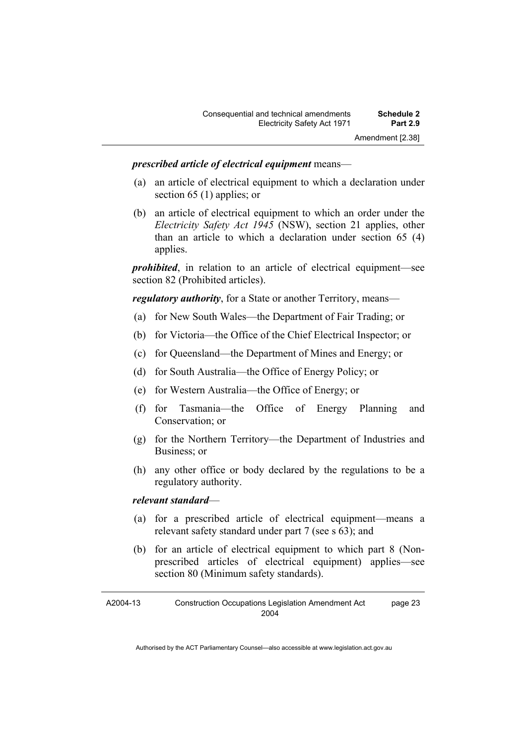#### *prescribed article of electrical equipment* means—

- (a) an article of electrical equipment to which a declaration under section 65 (1) applies; or
- (b) an article of electrical equipment to which an order under the *Electricity Safety Act 1945* (NSW), section 21 applies, other than an article to which a declaration under section 65 (4) applies.

*prohibited*, in relation to an article of electrical equipment—see section 82 (Prohibited articles).

*regulatory authority*, for a State or another Territory, means—

- (a) for New South Wales—the Department of Fair Trading; or
- (b) for Victoria—the Office of the Chief Electrical Inspector; or
- (c) for Queensland—the Department of Mines and Energy; or
- (d) for South Australia—the Office of Energy Policy; or
- (e) for Western Australia—the Office of Energy; or
- (f) for Tasmania—the Office of Energy Planning and Conservation; or
- (g) for the Northern Territory—the Department of Industries and Business; or
- (h) any other office or body declared by the regulations to be a regulatory authority.

#### *relevant standard*—

- (a) for a prescribed article of electrical equipment—means a relevant safety standard under part 7 (see s 63); and
- (b) for an article of electrical equipment to which part 8 (Nonprescribed articles of electrical equipment) applies—see section 80 (Minimum safety standards).

A2004-13 Construction Occupations Legislation Amendment Act 2004 page 23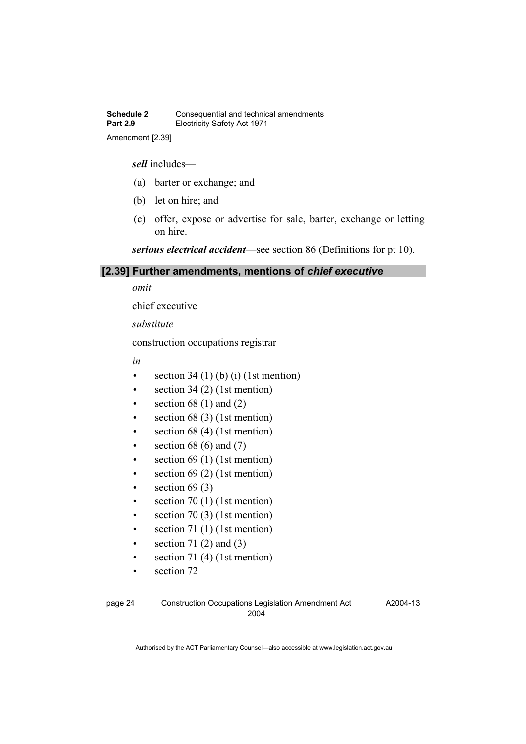*sell* includes—

- (a) barter or exchange; and
- (b) let on hire; and
- (c) offer, expose or advertise for sale, barter, exchange or letting on hire.

*serious electrical accident*—see section 86 (Definitions for pt 10).

#### **[2.39] Further amendments, mentions of** *chief executive*

*omit* 

chief executive

*substitute* 

construction occupations registrar

*in* 

- section  $34 (1) (b) (i) (1st mention)$
- section  $34(2)$  (1st mention)
- section  $68(1)$  and  $(2)$
- section  $68(3)$  (1st mention)
- section  $68$  (4) (1st mention)
- section 68 (6) and  $(7)$
- $\bullet$  section 69 (1) (1st mention)
- section 69 (2) (1st mention)
- $\bullet$  section 69 (3)
- $\bullet$  section 70 (1) (1st mention)
- section 70 $(3)$  (1st mention)
- $\bullet$  section 71 (1) (1st mention)
- section 71 $(2)$  and  $(3)$
- section 71 $(4)$  (1st mention)
- section 72

A2004-13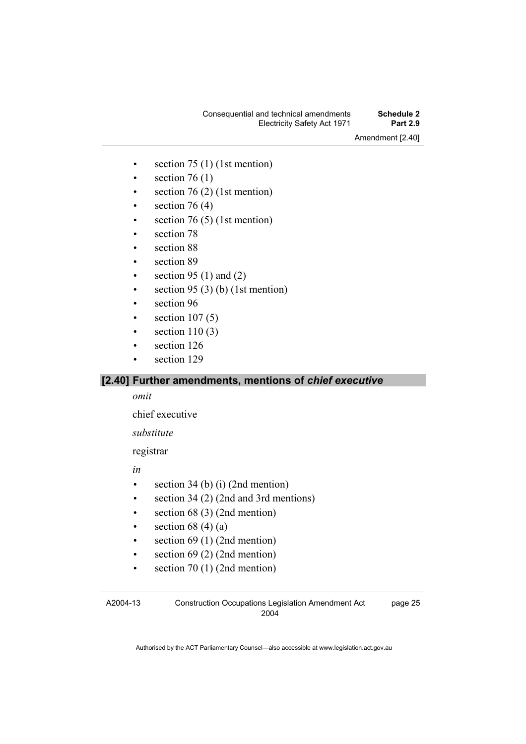### Consequential and technical amendments **Schedule 2 Electricity Safety Act 1971**

Amendment [2.40]

- section  $75$  (1) (1st mention)
- section  $76(1)$
- section  $76(2)$  (1st mention)
- section  $76(4)$
- section  $76(5)$  (1st mention)
- section 78
- section 88
- section 89
- section 95 (1) and (2)
- section 95 (3) (b) (1st mention)
- section 96
- $\bullet$  section 107(5)
- section  $110(3)$
- section 126
- section 129

### **[2.40] Further amendments, mentions of** *chief executive*

*omit* 

chief executive

*substitute* 

registrar

*in* 

- section 34 (b) (i) (2nd mention)
- section 34 (2) (2nd and 3rd mentions)
- section 68 (3) (2nd mention)
- section 68 (4) (a)
- $\bullet$  section 69 (1) (2nd mention)
- section  $69$  (2) (2nd mention)
- section  $70(1)$  (2nd mention)

A2004-13

Construction Occupations Legislation Amendment Act 2004

page 25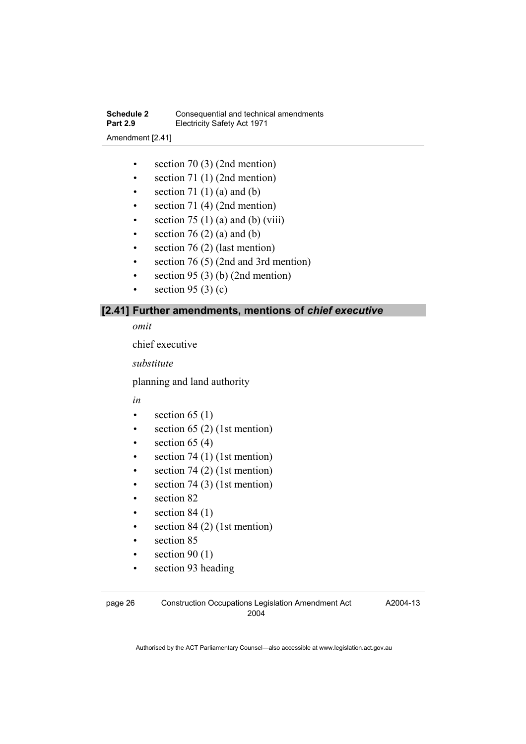- section 70 (3) (2nd mention)
- section 71 (1) (2nd mention)
- section 71 $(1)$  $(a)$  and  $(b)$
- section 71 (4) (2nd mention)
- section 75 (1) (a) and (b) (viii)
- section  $76(2)$  (a) and (b)
- section  $76(2)$  (last mention)
- section 76 (5) (2nd and 3rd mention)
- section 95 (3) (b) (2nd mention)
- section 95 $(3)$  $(c)$

### **[2.41] Further amendments, mentions of** *chief executive*

*omit* 

chief executive

*substitute* 

planning and land authority

*in* 

- section  $65(1)$
- section  $65(2)$  (1st mention)
- $\bullet$  section 65 (4)
- $\bullet$  section 74 (1) (1st mention)
- section 74 $(2)$  (1st mention)
- section  $74(3)$  (1st mention)
- section 82
- section  $84(1)$
- section  $84(2)$  (1st mention)
- section 85
- section  $90(1)$
- section 93 heading

page 26 Construction Occupations Legislation Amendment Act 2004

A2004-13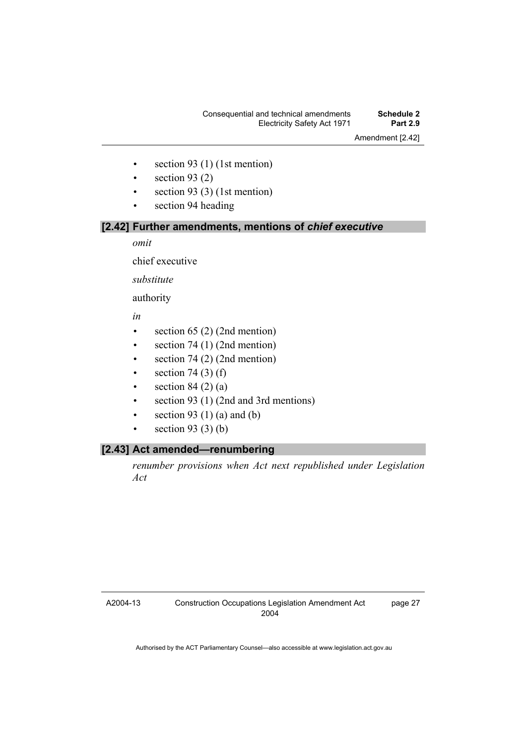#### Consequential and technical amendments **Schedule 2 Electricity Safety Act 1971**

Amendment [2.42]

- $\bullet$  section 93 (1) (1st mention)
- section  $93(2)$
- $\bullet$  section 93 (3) (1st mention)
- section 94 heading

#### **[2.42] Further amendments, mentions of** *chief executive*

*omit* 

chief executive

*substitute* 

authority

*in* 

- section  $65$  (2) (2nd mention)
- $\bullet$  section 74 (1) (2nd mention)
- $\bullet$  section 74 (2) (2nd mention)
- section  $74(3)$  (f)
- section  $84$  (2) (a)
- section 93 (1) (2nd and 3rd mentions)
- section 93 (1) (a) and (b)
- section 93 $(3)$  $(b)$

## **[2.43] Act amended—renumbering**

*renumber provisions when Act next republished under Legislation Act* 

A2004-13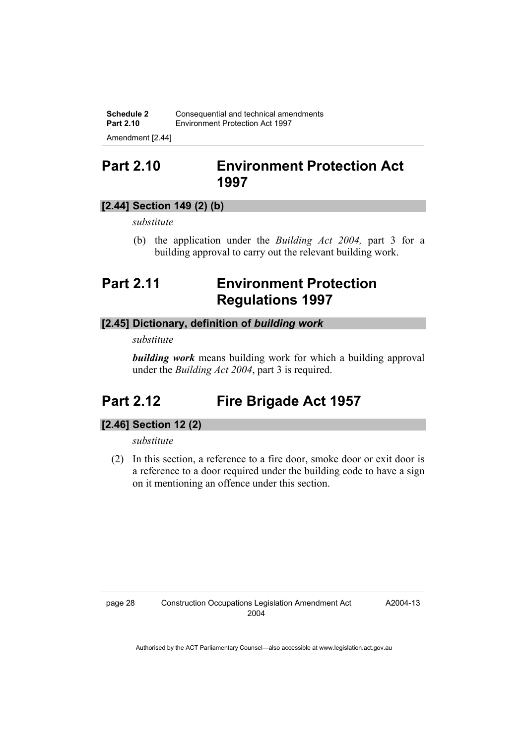**Schedule 2 Consequential and technical amendments**<br>**Part 2.10 Environment Protection Act 1997 Part 2.10** Environment Protection Act 1997

Amendment [2.44]

## **Part 2.10 Environment Protection Act 1997**

## **[2.44] Section 149 (2) (b)**

*substitute* 

 (b) the application under the *Building Act 2004,* part 3 for a building approval to carry out the relevant building work.

## **Part 2.11 Environment Protection Regulations 1997**

## **[2.45] Dictionary, definition of** *building work*

*substitute* 

*building work* means building work for which a building approval under the *Building Act 2004*, part 3 is required.

## **Part 2.12 Fire Brigade Act 1957**

## **[2.46] Section 12 (2)**

*substitute* 

 (2) In this section, a reference to a fire door, smoke door or exit door is a reference to a door required under the building code to have a sign on it mentioning an offence under this section.

A2004-13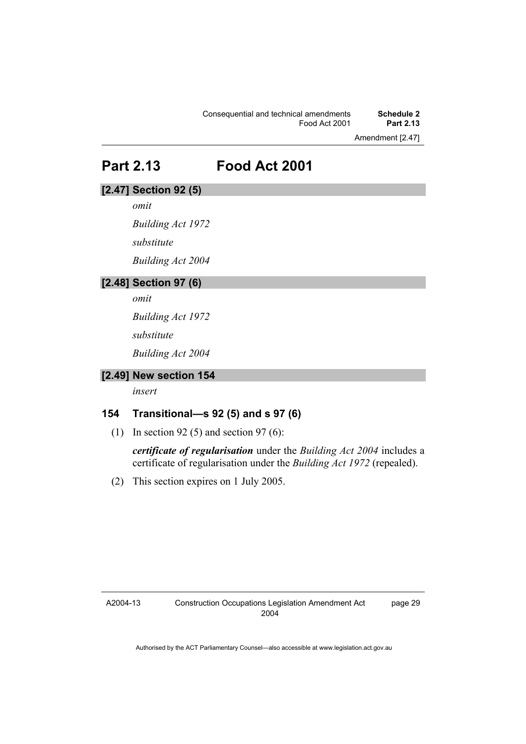Amendment [2.47]

**Part 2.13 Food Act 2001** 

## **[2.47] Section 92 (5)**

*omit* 

*Building Act 1972* 

*substitute* 

*Building Act 2004* 

## **[2.48] Section 97 (6)**

*omit* 

*Building Act 1972* 

*substitute* 

*Building Act 2004* 

## **[2.49] New section 154**

*insert* 

## **154 Transitional—s 92 (5) and s 97 (6)**

(1) In section 92 (5) and section 97 (6):

*certificate of regularisation* under the *Building Act 2004* includes a certificate of regularisation under the *Building Act 1972* (repealed).

(2) This section expires on 1 July 2005.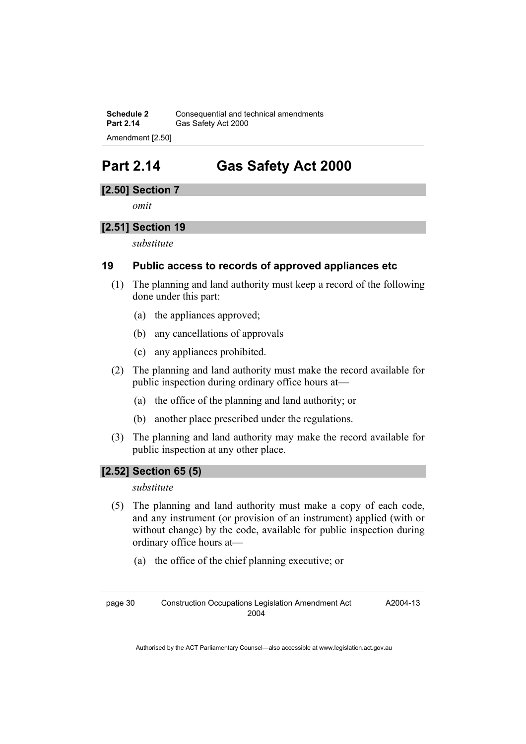**Schedule 2 Consequential and technical amendments**<br>**Part 2.14 Gas Safety Act 2000** Gas Safety Act 2000 Amendment [2.50]

## **Part 2.14 Gas Safety Act 2000**

## **[2.50] Section 7**

*omit* 

## **[2.51] Section 19**

*substitute* 

## **19 Public access to records of approved appliances etc**

- (1) The planning and land authority must keep a record of the following done under this part:
	- (a) the appliances approved;
	- (b) any cancellations of approvals
	- (c) any appliances prohibited.
- (2) The planning and land authority must make the record available for public inspection during ordinary office hours at—
	- (a) the office of the planning and land authority; or
	- (b) another place prescribed under the regulations.
- (3) The planning and land authority may make the record available for public inspection at any other place.

## **[2.52] Section 65 (5)**

#### *substitute*

- (5) The planning and land authority must make a copy of each code, and any instrument (or provision of an instrument) applied (with or without change) by the code, available for public inspection during ordinary office hours at—
	- (a) the office of the chief planning executive; or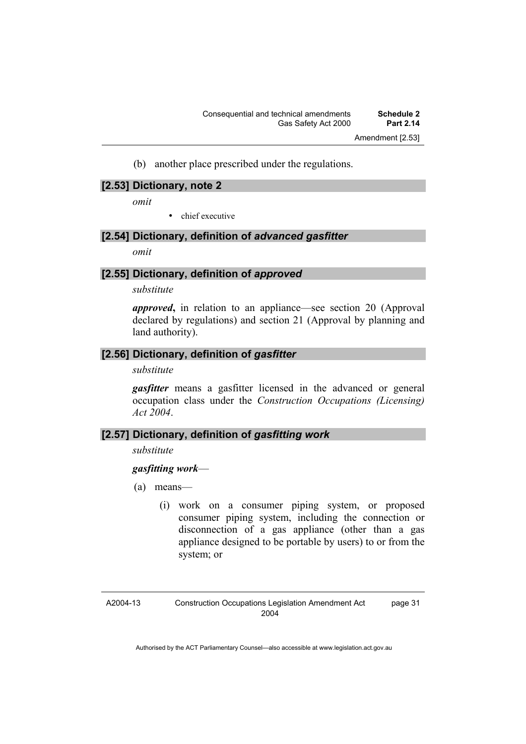(b) another place prescribed under the regulations.

#### **[2.53] Dictionary, note 2**

*omit* 

• chief executive

## **[2.54] Dictionary, definition of** *advanced gasfitter*

*omit* 

## **[2.55] Dictionary, definition of** *approved*

#### *substitute*

*approved***,** in relation to an appliance—see section 20 (Approval declared by regulations) and section 21 (Approval by planning and land authority).

### **[2.56] Dictionary, definition of** *gasfitter*

#### *substitute*

*gasfitter* means a gasfitter licensed in the advanced or general occupation class under the *Construction Occupations (Licensing) Act 2004*.

### **[2.57] Dictionary, definition of** *gasfitting work*

#### *substitute*

### *gasfitting work*—

- (a) means—
	- (i) work on a consumer piping system, or proposed consumer piping system, including the connection or disconnection of a gas appliance (other than a gas appliance designed to be portable by users) to or from the system; or

page 31

A2004-13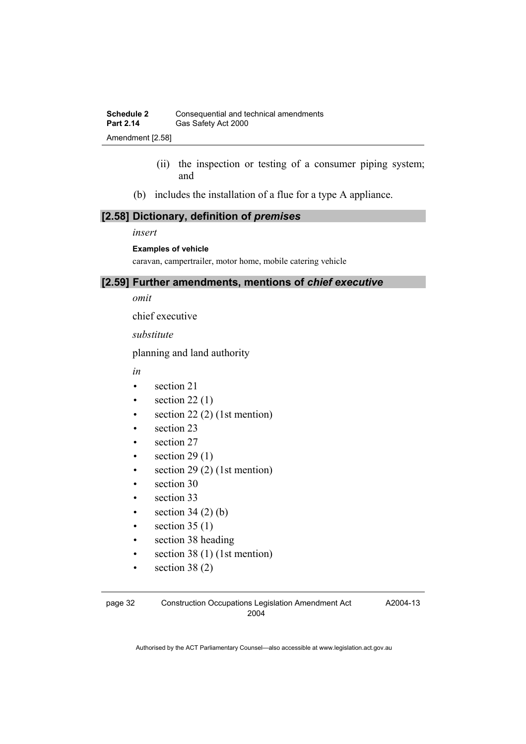- (ii) the inspection or testing of a consumer piping system; and
- (b) includes the installation of a flue for a type A appliance.

## **[2.58] Dictionary, definition of** *premises*

#### *insert*

#### **Examples of vehicle**

caravan, campertrailer, motor home, mobile catering vehicle

#### **[2.59] Further amendments, mentions of** *chief executive*

*omit* 

chief executive

*substitute* 

planning and land authority

*in* 

- section 21
- section  $22(1)$
- section  $22(2)$  (1st mention)
- section 23
- section 27
- section  $29(1)$
- $\bullet$  section 29 (2) (1st mention)
- section 30
- section 33
- section  $34(2)(b)$
- section  $35(1)$
- section 38 heading
- section  $38(1)$  (1st mention)
- section  $38(2)$

A2004-13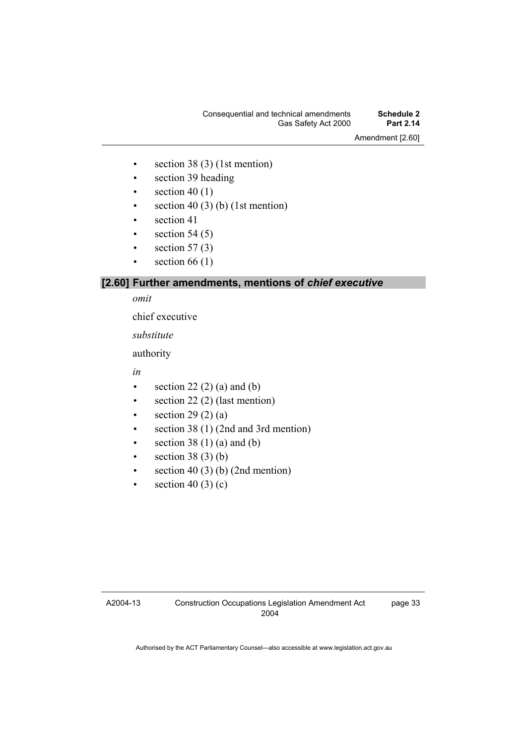### Consequential and technical amendments **Schedule 2**  Gas Safety Act 2000

Amendment [2.60]

- section  $38(3)$  (1st mention)
- section 39 heading
- $\bullet$  section 40 (1)
- section 40 (3) (b) (1st mention)
- section 41
- section  $54(5)$
- section  $57(3)$
- section  $66(1)$

## **[2.60] Further amendments, mentions of** *chief executive*

#### *omit*

chief executive

*substitute* 

authority

*in* 

- section 22 $(2)$  $(a)$  and  $(b)$
- section 22 (2) (last mention)
- section  $29(2)(a)$
- section 38 (1) (2nd and 3rd mention)
- section  $38(1)(a)$  and (b)
- section  $38(3)(b)$
- section 40 (3) (b) (2nd mention)
- $\bullet$  section 40 (3) (c)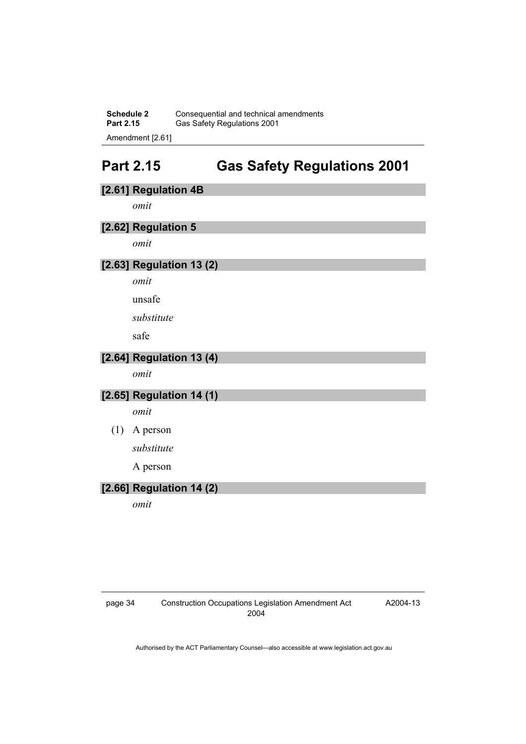**Schedule 2 Consequential and technical amendments**<br>**Part 2.15 Gas Safety Requilations 2001** Gas Safety Regulations 2001 Amendment [2.61]

## **Part 2.15 Gas Safety Regulations 2001**

## **[2.61] Regulation 4B**

*omit* 

## **[2.62] Regulation 5**

*omit* 

## **[2.63] Regulation 13 (2)**

*omit* 

unsafe

*substitute* 

safe

## **[2.64] Regulation 13 (4)**

*omit* 

## **[2.65] Regulation 14 (1)**

*omit* 

#### (1) A person

*substitute* 

A person

## **[2.66] Regulation 14 (2)**

*omit* 

page 34 Construction Occupations Legislation Amendment Act 2004

A2004-13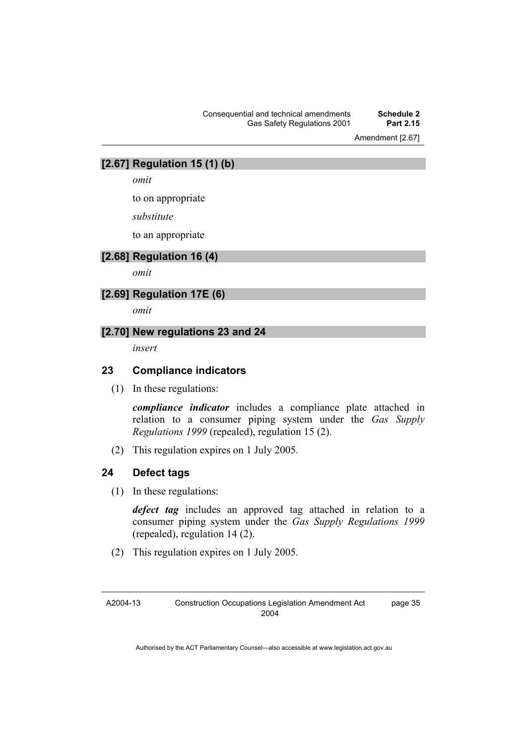#### Consequential and technical amendments **Schedule 2 Gas Safety Regulations 2001**

Amendment [2.67]

### **[2.67] Regulation 15 (1) (b)**

*omit* 

to on appropriate

*substitute* 

to an appropriate

## **[2.68] Regulation 16 (4)**

*omit* 

## **[2.69] Regulation 17E (6)**

*omit* 

#### **[2.70] New regulations 23 and 24**

*insert* 

#### **23 Compliance indicators**

(1) In these regulations:

*compliance indicator* includes a compliance plate attached in relation to a consumer piping system under the *Gas Supply Regulations 1999* (repealed), regulation 15 (2).

(2) This regulation expires on 1 July 2005.

### **24 Defect tags**

(1) In these regulations:

*defect tag* includes an approved tag attached in relation to a consumer piping system under the *Gas Supply Regulations 1999* (repealed), regulation 14 (2).

(2) This regulation expires on 1 July 2005.

A2004-13 Construction Occupations Legislation Amendment Act 2004 page 35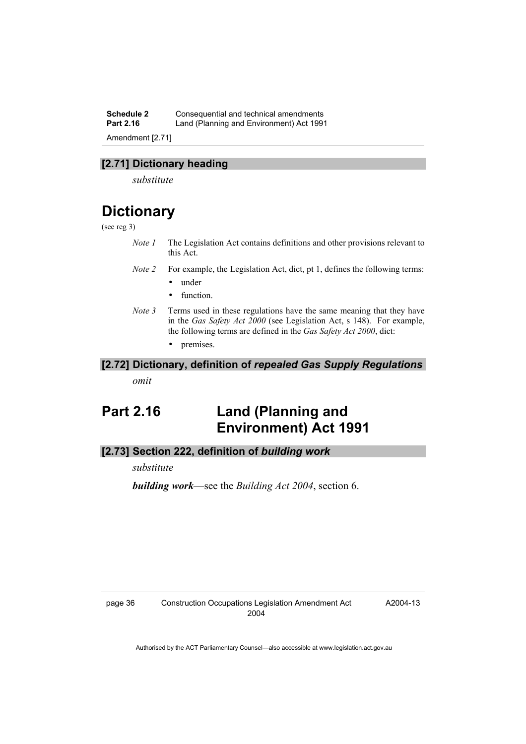**Schedule 2 Consequential and technical amendments**<br>**Part 2.16 Land (Planning and Environment) Act 199** Land (Planning and Environment) Act 1991

Amendment [2.71]

## **[2.71] Dictionary heading**

*substitute* 

## **Dictionary**

#### (see reg 3)

- *Note 1* The Legislation Act contains definitions and other provisions relevant to this Act.
- *Note 2* For example, the Legislation Act, dict, pt 1, defines the following terms:
	- under
	- function.
- *Note 3* Terms used in these regulations have the same meaning that they have in the *Gas Safety Act 2000* (see Legislation Act, s 148). For example, the following terms are defined in the *Gas Safety Act 2000*, dict:
	- premises.

#### **[2.72] Dictionary, definition of** *repealed Gas Supply Regulations*

*omit* 

## **Part 2.16 Land (Planning and Environment) Act 1991**

#### **[2.73] Section 222, definition of** *building work*

*substitute* 

*building work*—see the *Building Act 2004*, section 6.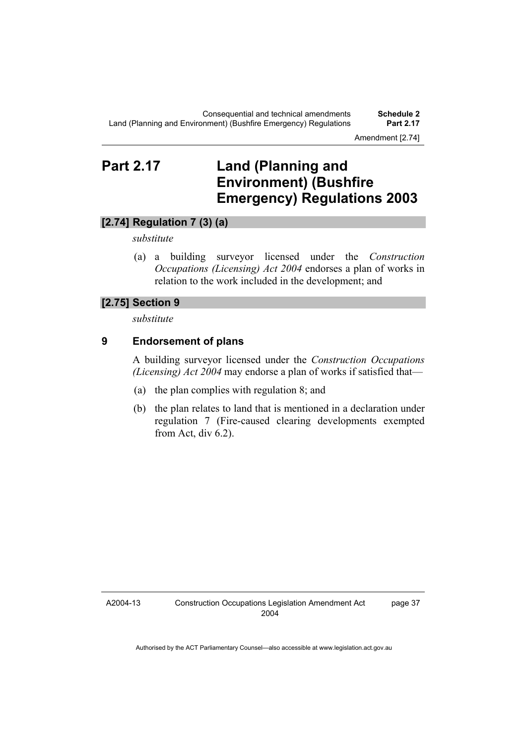Amendment [2.74]

## **Part 2.17 Land (Planning and Environment) (Bushfire Emergency) Regulations 2003**

## **[2.74] Regulation 7 (3) (a)**

#### *substitute*

 (a) a building surveyor licensed under the *Construction Occupations (Licensing) Act 2004* endorses a plan of works in relation to the work included in the development; and

#### **[2.75] Section 9**

*substitute* 

## **9 Endorsement of plans**

A building surveyor licensed under the *Construction Occupations (Licensing) Act 2004* may endorse a plan of works if satisfied that—

- (a) the plan complies with regulation 8; and
- (b) the plan relates to land that is mentioned in a declaration under regulation 7 (Fire-caused clearing developments exempted from Act, div 6.2).

A2004-13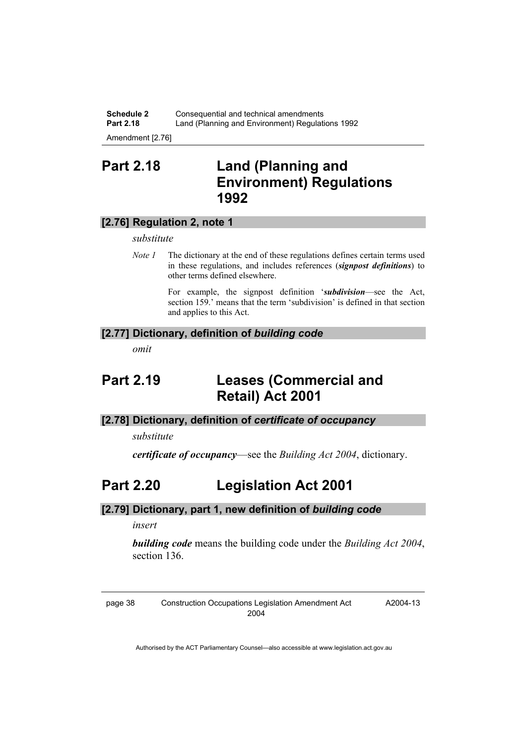**Schedule 2 Consequential and technical amendments**<br>**Part 2.18 Land (Planning and Environment) Regulation** Land (Planning and Environment) Regulations 1992

Amendment [2.76]

## **Part 2.18 Land (Planning and Environment) Regulations 1992**

## **[2.76] Regulation 2, note 1**

*substitute* 

*Note 1* The dictionary at the end of these regulations defines certain terms used in these regulations, and includes references (*signpost definitions*) to other terms defined elsewhere.

> For example, the signpost definition '*subdivision*—see the Act, section 159.' means that the term 'subdivision' is defined in that section and applies to this Act.

#### **[2.77] Dictionary, definition of** *building code*

*omit* 

## **Part 2.19 Leases (Commercial and Retail) Act 2001**

## **[2.78] Dictionary, definition of** *certificate of occupancy*

*substitute* 

*certificate of occupancy*—see the *Building Act 2004*, dictionary.

## **Part 2.20 Legislation Act 2001**

### **[2.79] Dictionary, part 1, new definition of** *building code*

*insert* 

*building code* means the building code under the *Building Act 2004*, section 136.

page 38 Construction Occupations Legislation Amendment Act 2004

A2004-13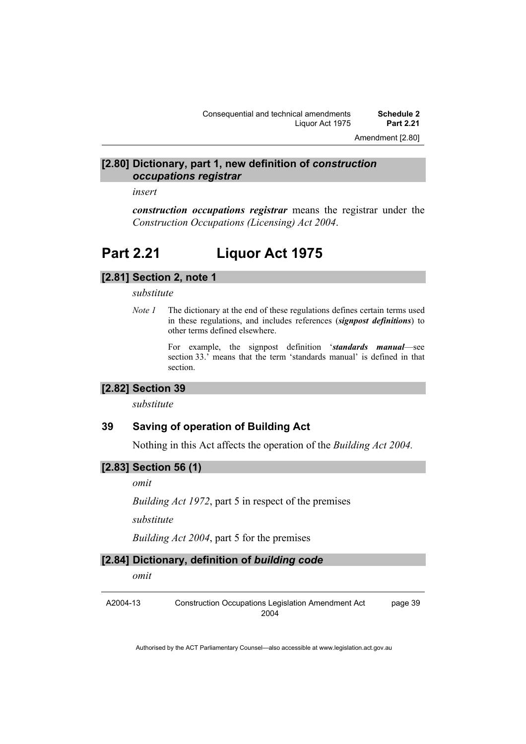Amendment [2.80]

#### **[2.80] Dictionary, part 1, new definition of** *construction occupations registrar*

*insert* 

*construction occupations registrar* means the registrar under the *Construction Occupations (Licensing) Act 2004*.

## **Part 2.21 Liquor Act 1975**

### **[2.81] Section 2, note 1**

*substitute* 

*Note 1* The dictionary at the end of these regulations defines certain terms used in these regulations, and includes references (*signpost definitions*) to other terms defined elsewhere.

> For example, the signpost definition '*standards manual*—see section 33.' means that the term 'standards manual' is defined in that section.

### **[2.82] Section 39**

*substitute* 

#### **39 Saving of operation of Building Act**

Nothing in this Act affects the operation of the *Building Act 2004.*

#### **[2.83] Section 56 (1)**

*omit* 

*Building Act 1972*, part 5 in respect of the premises

*substitute* 

*Building Act 2004*, part 5 for the premises

## **[2.84] Dictionary, definition of** *building code*

*omit* 

A2004-13 Construction Occupations Legislation Amendment Act 2004 page 39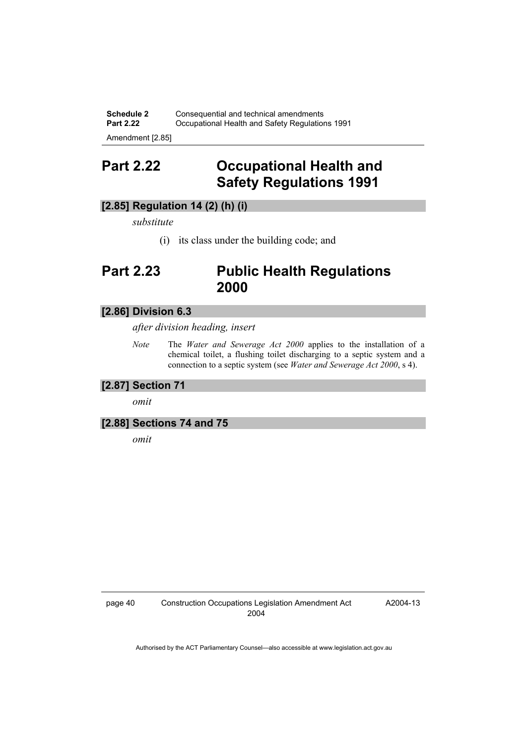**Schedule 2 Consequential and technical amendments**<br>**Part 2.22 Constitutional Health and Safety Requlation Part 2.22 Part 2.22 Part 2.22 Part 2.22 Part 2.22 Part 2.22 Part 2.22 Part 2.22 Part 2.22 Part 2.22 Part 2.22 Part 2.22 Part 2.22 Part 2.22 Part 2.22 Part 2.22 Part 2.22 Part 2.22 Part 2.22 Part 2.22 Part 2.22 Part 2.22 P** 

Amendment [2.85]

## **Part 2.22 Occupational Health and Safety Regulations 1991**

## **[2.85] Regulation 14 (2) (h) (i)**

*substitute* 

(i) its class under the building code; and

## **Part 2.23 Public Health Regulations 2000**

### **[2.86] Division 6.3**

*after division heading, insert* 

*Note* The *Water and Sewerage Act 2000* applies to the installation of a chemical toilet, a flushing toilet discharging to a septic system and a connection to a septic system (see *Water and Sewerage Act 2000*, s 4).

#### **[2.87] Section 71**

*omit* 

### **[2.88] Sections 74 and 75**

*omit*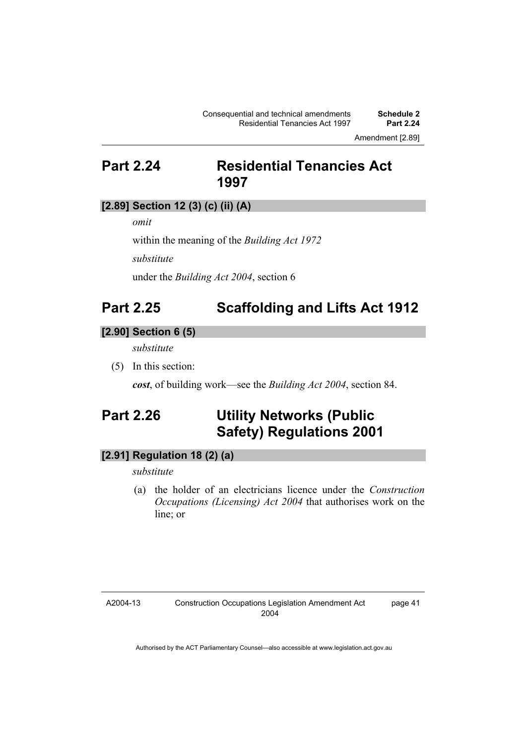Amendment [2.89]

## **Part 2.24 Residential Tenancies Act 1997**

## **[2.89] Section 12 (3) (c) (ii) (A)**

*omit* 

within the meaning of the *Building Act 1972*

*substitute* 

under the *Building Act 2004*, section 6

## **Part 2.25 Scaffolding and Lifts Act 1912**

#### **[2.90] Section 6 (5)**

*substitute* 

(5) In this section:

*cost*, of building work—see the *Building Act 2004*, section 84.

## **Part 2.26 Utility Networks (Public Safety) Regulations 2001**

## **[2.91] Regulation 18 (2) (a)**

*substitute* 

 (a) the holder of an electricians licence under the *Construction Occupations (Licensing) Act 2004* that authorises work on the line; or

#### A2004-13

page 41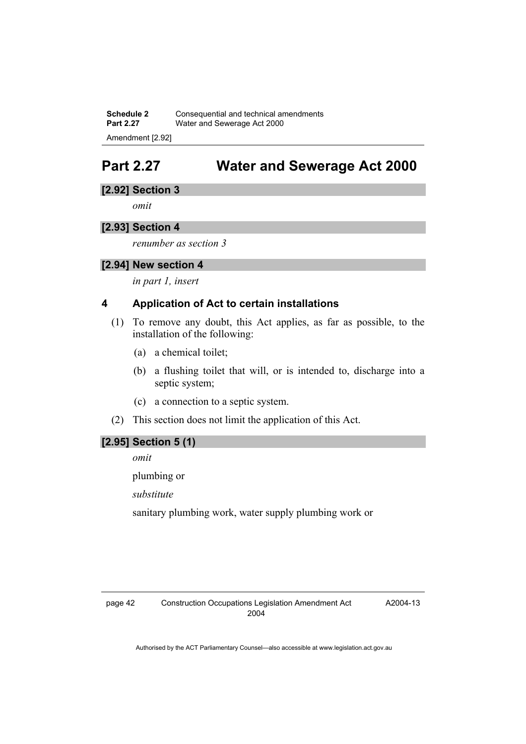**Schedule 2 Consequential and technical amendments**<br>**Part 2.27** *Water and Sewerage Act 2000* **Water and Sewerage Act 2000** Amendment [2.92]

## **Part 2.27 Water and Sewerage Act 2000**

### **[2.92] Section 3**

*omit* 

## **[2.93] Section 4**

*renumber as section 3* 

### **[2.94] New section 4**

*in part 1, insert* 

## **4 Application of Act to certain installations**

- (1) To remove any doubt, this Act applies, as far as possible, to the installation of the following:
	- (a) a chemical toilet;
	- (b) a flushing toilet that will, or is intended to, discharge into a septic system;
	- (c) a connection to a septic system.
- (2) This section does not limit the application of this Act.

### **[2.95] Section 5 (1)**

*omit* 

plumbing or

*substitute* 

sanitary plumbing work, water supply plumbing work or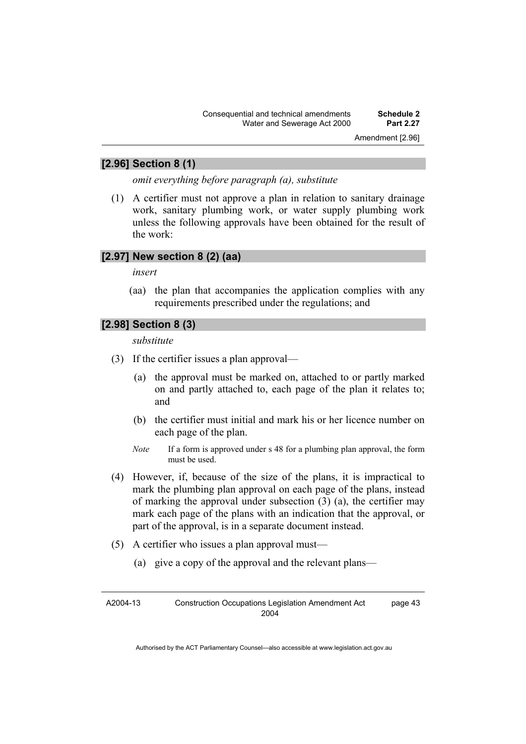Amendment [2.96]

### **[2.96] Section 8 (1)**

*omit everything before paragraph (a), substitute* 

 (1) A certifier must not approve a plan in relation to sanitary drainage work, sanitary plumbing work, or water supply plumbing work unless the following approvals have been obtained for the result of the work:

## **[2.97] New section 8 (2) (aa)**

*insert* 

 (aa) the plan that accompanies the application complies with any requirements prescribed under the regulations; and

## **[2.98] Section 8 (3)**

*substitute* 

- (3) If the certifier issues a plan approval—
	- (a) the approval must be marked on, attached to or partly marked on and partly attached to, each page of the plan it relates to; and
	- (b) the certifier must initial and mark his or her licence number on each page of the plan.
	- *Note* If a form is approved under s 48 for a plumbing plan approval, the form must be used.
- (4) However, if, because of the size of the plans, it is impractical to mark the plumbing plan approval on each page of the plans, instead of marking the approval under subsection (3) (a), the certifier may mark each page of the plans with an indication that the approval, or part of the approval, is in a separate document instead.
- (5) A certifier who issues a plan approval must—
	- (a) give a copy of the approval and the relevant plans—

A2004-13 Construction Occupations Legislation Amendment Act 2004 page 43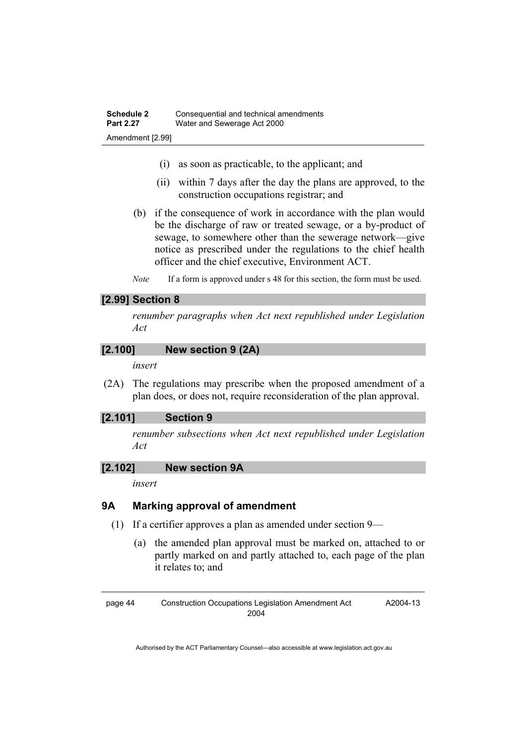- (i) as soon as practicable, to the applicant; and
- (ii) within 7 days after the day the plans are approved, to the construction occupations registrar; and
- (b) if the consequence of work in accordance with the plan would be the discharge of raw or treated sewage, or a by-product of sewage, to somewhere other than the sewerage network—give notice as prescribed under the regulations to the chief health officer and the chief executive, Environment ACT.
- *Note* If a form is approved under s 48 for this section, the form must be used.

#### **[2.99] Section 8**

*renumber paragraphs when Act next republished under Legislation Act* 

#### **[2.100] New section 9 (2A)**

*insert* 

 (2A) The regulations may prescribe when the proposed amendment of a plan does, or does not, require reconsideration of the plan approval.

### **[2.101] Section 9**

*renumber subsections when Act next republished under Legislation Act* 

#### **[2.102] New section 9A**

*insert* 

### **9A Marking approval of amendment**

- (1) If a certifier approves a plan as amended under section 9—
	- (a) the amended plan approval must be marked on, attached to or partly marked on and partly attached to, each page of the plan it relates to; and

page 44 Construction Occupations Legislation Amendment Act 2004

A2004-13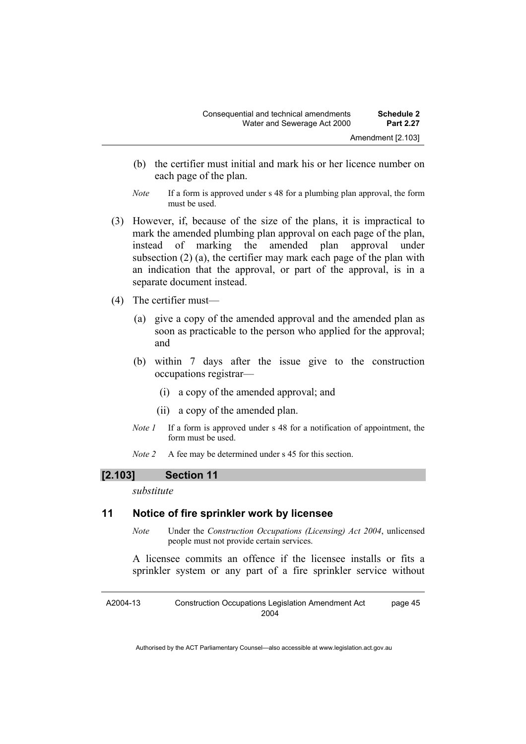- (b) the certifier must initial and mark his or her licence number on each page of the plan.
- *Note* If a form is approved under s 48 for a plumbing plan approval, the form must be used.
- (3) However, if, because of the size of the plans, it is impractical to mark the amended plumbing plan approval on each page of the plan, instead of marking the amended plan approval under subsection (2) (a), the certifier may mark each page of the plan with an indication that the approval, or part of the approval, is in a separate document instead.
- (4) The certifier must—
	- (a) give a copy of the amended approval and the amended plan as soon as practicable to the person who applied for the approval; and
	- (b) within 7 days after the issue give to the construction occupations registrar—
		- (i) a copy of the amended approval; and
		- (ii) a copy of the amended plan.
	- *Note 1* If a form is approved under s 48 for a notification of appointment, the form must be used.
	- *Note 2* A fee may be determined under s 45 for this section.

### **[2.103] Section 11**

*substitute* 

### **11 Notice of fire sprinkler work by licensee**

*Note* Under the *Construction Occupations (Licensing) Act 2004*, unlicensed people must not provide certain services.

A licensee commits an offence if the licensee installs or fits a sprinkler system or any part of a fire sprinkler service without

A2004-13 Construction Occupations Legislation Amendment Act 2004 page 45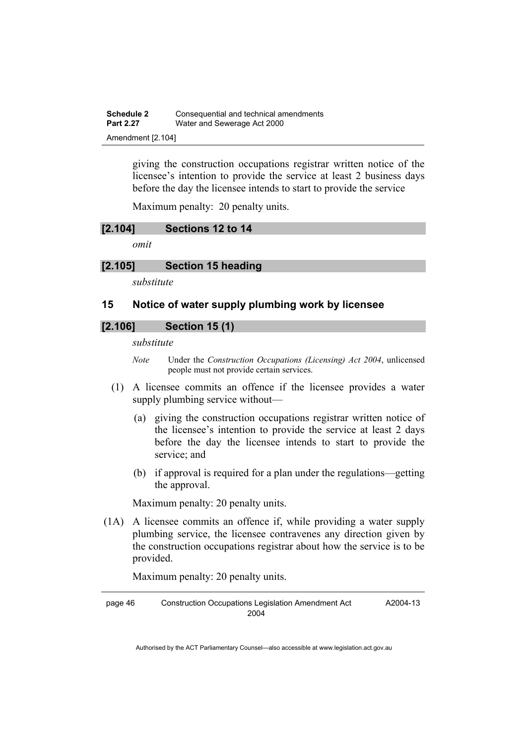| <b>Schedule 2</b> | Consequential and technical amendments |
|-------------------|----------------------------------------|
| <b>Part 2.27</b>  | Water and Sewerage Act 2000            |
| Amendment [2.104] |                                        |

giving the construction occupations registrar written notice of the licensee's intention to provide the service at least 2 business days before the day the licensee intends to start to provide the service

Maximum penalty: 20 penalty units.

#### **[2.104] Sections 12 to 14**

*omit* 

#### **[2.105] Section 15 heading**

*substitute* 

#### **15 Notice of water supply plumbing work by licensee**

## **[2.106] Section 15 (1)**

#### *substitute*

- *Note* Under the *Construction Occupations (Licensing) Act 2004*, unlicensed people must not provide certain services.
- (1) A licensee commits an offence if the licensee provides a water supply plumbing service without—
	- (a) giving the construction occupations registrar written notice of the licensee's intention to provide the service at least 2 days before the day the licensee intends to start to provide the service; and
	- (b) if approval is required for a plan under the regulations—getting the approval.

Maximum penalty: 20 penalty units.

 (1A) A licensee commits an offence if, while providing a water supply plumbing service, the licensee contravenes any direction given by the construction occupations registrar about how the service is to be provided.

Maximum penalty: 20 penalty units.

page 46 Construction Occupations Legislation Amendment Act 2004

A2004-13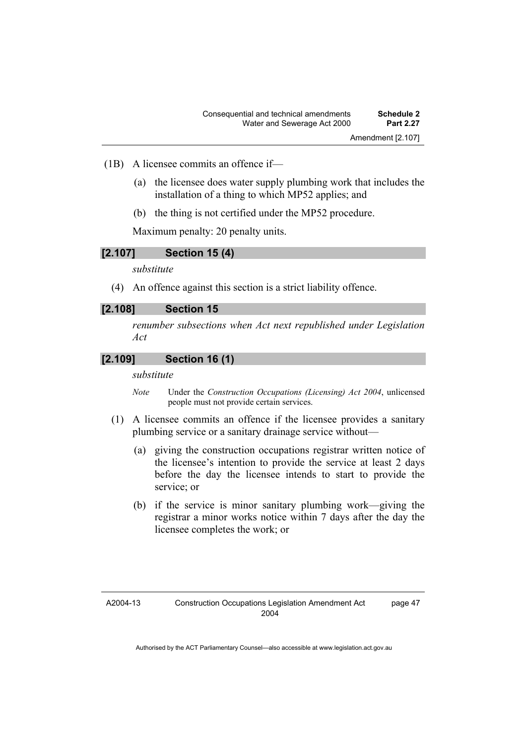- (1B) A licensee commits an offence if—
	- (a) the licensee does water supply plumbing work that includes the installation of a thing to which MP52 applies; and
	- (b) the thing is not certified under the MP52 procedure.

Maximum penalty: 20 penalty units.

#### **[2.107] Section 15 (4)**

*substitute* 

(4) An offence against this section is a strict liability offence.

#### **[2.108] Section 15**

*renumber subsections when Act next republished under Legislation Act* 

### **[2.109] Section 16 (1)**

#### *substitute*

*Note* Under the *Construction Occupations (Licensing) Act 2004*, unlicensed people must not provide certain services.

- (1) A licensee commits an offence if the licensee provides a sanitary plumbing service or a sanitary drainage service without—
	- (a) giving the construction occupations registrar written notice of the licensee's intention to provide the service at least 2 days before the day the licensee intends to start to provide the service; or
	- (b) if the service is minor sanitary plumbing work—giving the registrar a minor works notice within 7 days after the day the licensee completes the work; or

page 47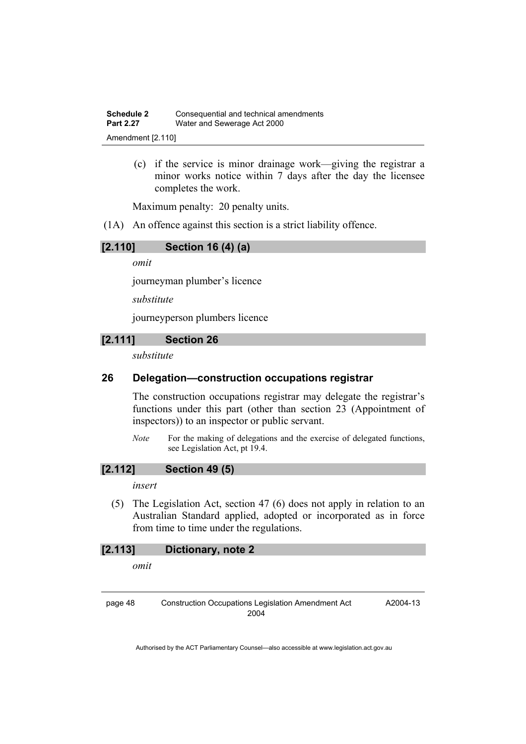(c) if the service is minor drainage work—giving the registrar a minor works notice within 7 days after the day the licensee completes the work.

Maximum penalty: 20 penalty units.

(1A) An offence against this section is a strict liability offence.

### **[2.110] Section 16 (4) (a)**

*omit* 

journeyman plumber's licence

*substitute* 

journeyperson plumbers licence

## **[2.111] Section 26**

*substitute* 

### **26 Delegation—construction occupations registrar**

The construction occupations registrar may delegate the registrar's functions under this part (other than section 23 (Appointment of inspectors)) to an inspector or public servant.

*Note* For the making of delegations and the exercise of delegated functions, see Legislation Act, pt 19.4.

#### **[2.112] Section 49 (5)**

#### *insert*

 (5) The Legislation Act, section 47 (6) does not apply in relation to an Australian Standard applied, adopted or incorporated as in force from time to time under the regulations.

#### **[2.113] Dictionary, note 2**

*omit* 

page 48 Construction Occupations Legislation Amendment Act 2004

A2004-13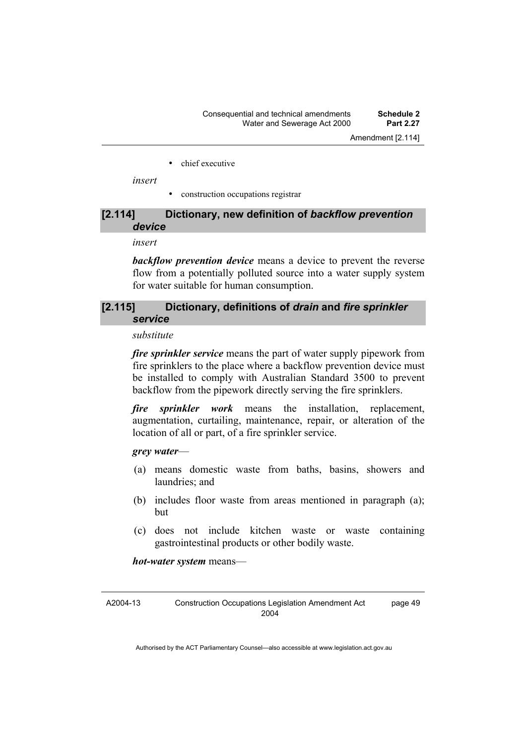• chief executive

*insert* 

• construction occupations registrar

#### **[2.114] Dictionary, new definition of** *backflow prevention device*

*insert* 

*backflow prevention device* means a device to prevent the reverse flow from a potentially polluted source into a water supply system for water suitable for human consumption.

### **[2.115] Dictionary, definitions of** *drain* **and** *fire sprinkler service*

*substitute* 

*fire sprinkler service* means the part of water supply pipework from fire sprinklers to the place where a backflow prevention device must be installed to comply with Australian Standard 3500 to prevent backflow from the pipework directly serving the fire sprinklers.

*fire sprinkler work* means the installation, replacement, augmentation, curtailing, maintenance, repair, or alteration of the location of all or part, of a fire sprinkler service.

*grey water*—

- (a) means domestic waste from baths, basins, showers and laundries: and
- (b) includes floor waste from areas mentioned in paragraph (a); but
- (c) does not include kitchen waste or waste containing gastrointestinal products or other bodily waste.

*hot-water system* means—

A2004-13 Construction Occupations Legislation Amendment Act 2004 page 49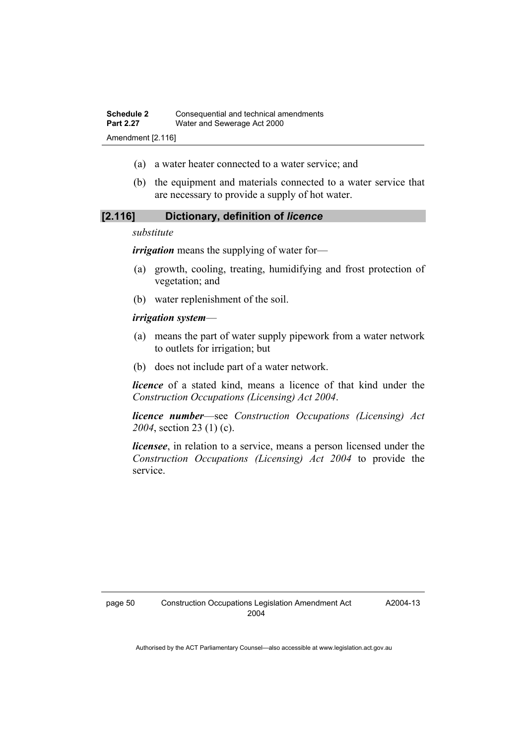Amendment [2.116]

- (a) a water heater connected to a water service; and
- (b) the equipment and materials connected to a water service that are necessary to provide a supply of hot water.

#### **[2.116] Dictionary, definition of** *licence*

#### *substitute*

*irrigation* means the supplying of water for—

- (a) growth, cooling, treating, humidifying and frost protection of vegetation; and
- (b) water replenishment of the soil.

#### *irrigation system*—

- (a) means the part of water supply pipework from a water network to outlets for irrigation; but
- (b) does not include part of a water network.

*licence* of a stated kind, means a licence of that kind under the *Construction Occupations (Licensing) Act 2004*.

*licence number*—see *Construction Occupations (Licensing) Act 2004*, section 23 (1) (c).

*licensee*, in relation to a service, means a person licensed under the *Construction Occupations (Licensing) Act 2004* to provide the service.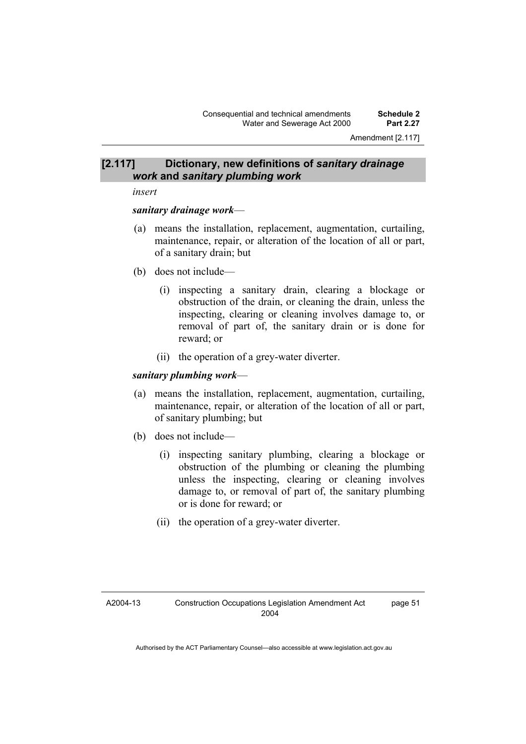### **[2.117] Dictionary, new definitions of** *sanitary drainage work* **and** *sanitary plumbing work*

*insert* 

#### *sanitary drainage work*—

- (a) means the installation, replacement, augmentation, curtailing, maintenance, repair, or alteration of the location of all or part, of a sanitary drain; but
- (b) does not include—
	- (i) inspecting a sanitary drain, clearing a blockage or obstruction of the drain, or cleaning the drain, unless the inspecting, clearing or cleaning involves damage to, or removal of part of, the sanitary drain or is done for reward; or
	- (ii) the operation of a grey-water diverter.

#### *sanitary plumbing work*—

- (a) means the installation, replacement, augmentation, curtailing, maintenance, repair, or alteration of the location of all or part, of sanitary plumbing; but
- (b) does not include—
	- (i) inspecting sanitary plumbing, clearing a blockage or obstruction of the plumbing or cleaning the plumbing unless the inspecting, clearing or cleaning involves damage to, or removal of part of, the sanitary plumbing or is done for reward; or
	- (ii) the operation of a grey-water diverter.

page 51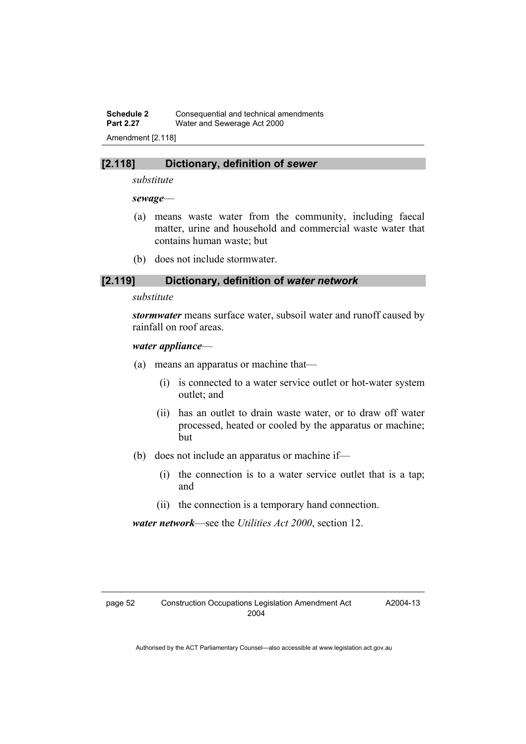**Schedule 2 Consequential and technical amendments**<br>**Part 2.27** *Water and Sewerage Act 2000* **Water and Sewerage Act 2000** Amendment [2.118]

#### **[2.118] Dictionary, definition of** *sewer*

*substitute* 

#### *sewage*—

- (a) means waste water from the community, including faecal matter, urine and household and commercial waste water that contains human waste; but
- (b) does not include stormwater.

### **[2.119] Dictionary, definition of** *water network*

#### *substitute*

*stormwater* means surface water, subsoil water and runoff caused by rainfall on roof areas.

#### *water appliance*—

- (a) means an apparatus or machine that—
	- (i) is connected to a water service outlet or hot-water system outlet; and
	- (ii) has an outlet to drain waste water, or to draw off water processed, heated or cooled by the apparatus or machine; but
- (b) does not include an apparatus or machine if—
	- (i) the connection is to a water service outlet that is a tap; and
	- (ii) the connection is a temporary hand connection.

*water network*—see the *Utilities Act 2000*, section 12.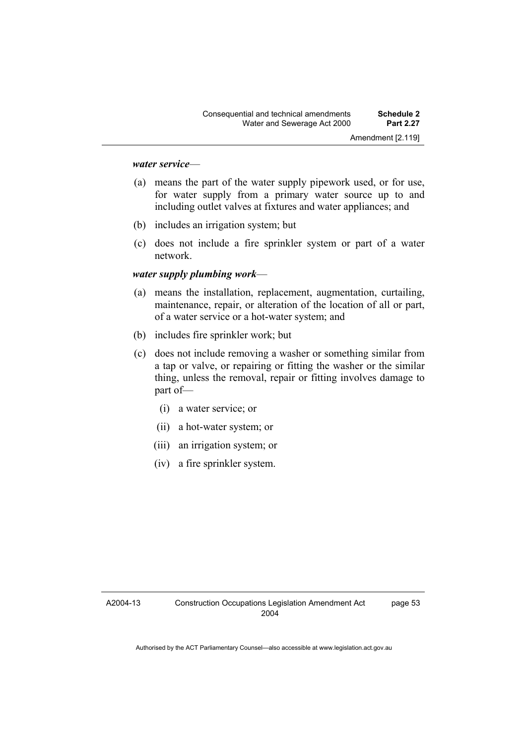#### *water service*—

- (a) means the part of the water supply pipework used, or for use, for water supply from a primary water source up to and including outlet valves at fixtures and water appliances; and
- (b) includes an irrigation system; but
- (c) does not include a fire sprinkler system or part of a water network.

#### *water supply plumbing work*—

- (a) means the installation, replacement, augmentation, curtailing, maintenance, repair, or alteration of the location of all or part, of a water service or a hot-water system; and
- (b) includes fire sprinkler work; but
- (c) does not include removing a washer or something similar from a tap or valve, or repairing or fitting the washer or the similar thing, unless the removal, repair or fitting involves damage to part of—
	- (i) a water service; or
	- (ii) a hot-water system; or
	- (iii) an irrigation system; or
	- (iv) a fire sprinkler system.

page 53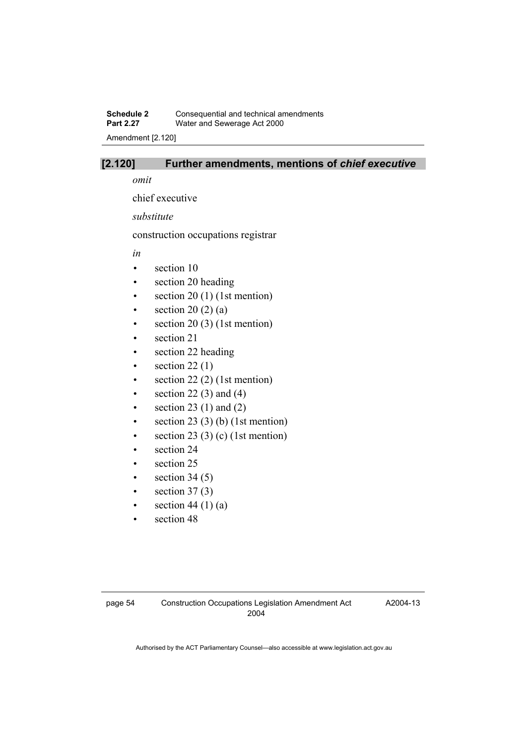## **Schedule 2 Consequential and technical amendments**<br>**Part 2.27** *Water and Sewerage Act 2000* Water and Sewerage Act 2000

Amendment [2.120]

## **[2.120] Further amendments, mentions of** *chief executive*

*omit* 

chief executive

*substitute* 

construction occupations registrar

*in* 

- section 10
- section 20 heading
- $\bullet$  section 20 (1) (1st mention)
- section 20 (2) (a)
- $\bullet$  section 20 (3) (1st mention)
- section 21
- section 22 heading
- $\bullet$  section 22(1)
- section  $22(2)$  (1st mention)
- section 22 $(3)$  and  $(4)$
- section 23 (1) and (2)
- section  $23(3)$  (b) (1st mention)
- section 23 (3) (c) (1st mention)
- section 24
- section 25
- section  $34(5)$
- section  $37(3)$
- section 44 (1) (a)
- section 48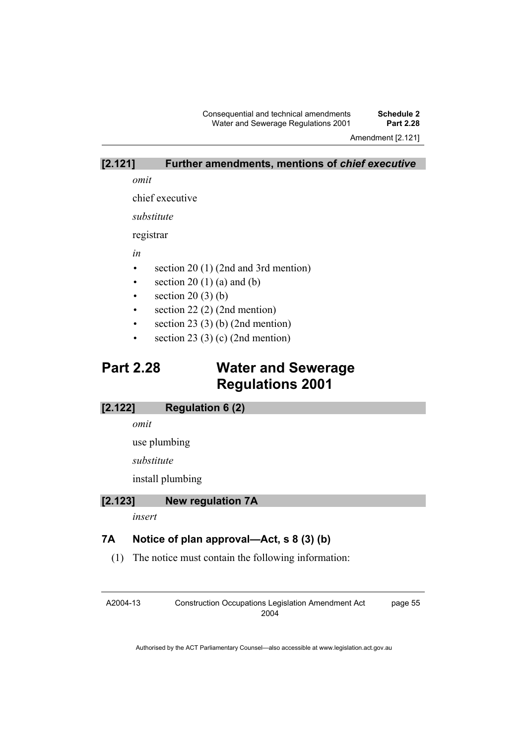Consequential and technical amendments **Schedule 2**  Water and Sewerage Regulations 2001

Amendment [2.121]

#### **[2.121] Further amendments, mentions of** *chief executive*

*omit* 

chief executive

*substitute* 

registrar

*in* 

- section 20 (1) (2nd and 3rd mention)
- section  $20(1)(a)$  and  $(b)$
- $\bullet$  section 20(3)(b)
- section 22 (2) (2nd mention)
- section 23 (3) (b) (2nd mention)
- section 23 (3) (c) (2nd mention)

## **Part 2.28 Water and Sewerage Regulations 2001**

#### **[2.122] Regulation 6 (2)**

*omit* 

use plumbing

*substitute* 

install plumbing

#### **[2.123] New regulation 7A**

*insert* 

## **7A Notice of plan approval—Act, s 8 (3) (b)**

(1) The notice must contain the following information:

A2004-13

Construction Occupations Legislation Amendment Act 2004

page 55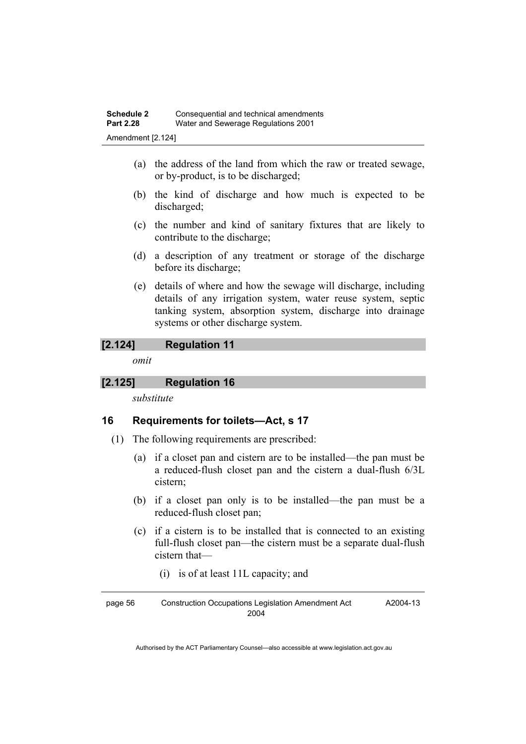Amendment [2.124]

- (a) the address of the land from which the raw or treated sewage, or by-product, is to be discharged;
- (b) the kind of discharge and how much is expected to be discharged;
- (c) the number and kind of sanitary fixtures that are likely to contribute to the discharge;
- (d) a description of any treatment or storage of the discharge before its discharge;
- (e) details of where and how the sewage will discharge, including details of any irrigation system, water reuse system, septic tanking system, absorption system, discharge into drainage systems or other discharge system.

## **[2.124] Regulation 11**

*omit* 

### **[2.125] Regulation 16**

*substitute* 

## **16 Requirements for toilets—Act, s 17**

- (1) The following requirements are prescribed:
	- (a) if a closet pan and cistern are to be installed—the pan must be a reduced-flush closet pan and the cistern a dual-flush 6/3L cistern;
	- (b) if a closet pan only is to be installed—the pan must be a reduced-flush closet pan;
	- (c) if a cistern is to be installed that is connected to an existing full-flush closet pan—the cistern must be a separate dual-flush cistern that—
		- (i) is of at least 11L capacity; and

page 56 Construction Occupations Legislation Amendment Act 2004 A2004-13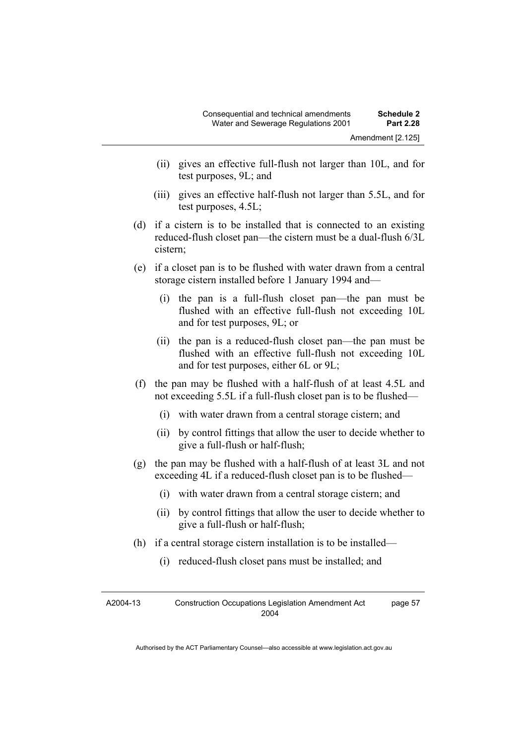- (ii) gives an effective full-flush not larger than 10L, and for test purposes, 9L; and
- (iii) gives an effective half-flush not larger than 5.5L, and for test purposes, 4.5L;
- (d) if a cistern is to be installed that is connected to an existing reduced-flush closet pan—the cistern must be a dual-flush 6/3L cistern;
- (e) if a closet pan is to be flushed with water drawn from a central storage cistern installed before 1 January 1994 and—
	- (i) the pan is a full-flush closet pan—the pan must be flushed with an effective full-flush not exceeding 10L and for test purposes, 9L; or
	- (ii) the pan is a reduced-flush closet pan—the pan must be flushed with an effective full-flush not exceeding 10L and for test purposes, either 6L or 9L;
- (f) the pan may be flushed with a half-flush of at least 4.5L and not exceeding 5.5L if a full-flush closet pan is to be flushed—
	- (i) with water drawn from a central storage cistern; and
	- (ii) by control fittings that allow the user to decide whether to give a full-flush or half-flush;
- (g) the pan may be flushed with a half-flush of at least 3L and not exceeding 4L if a reduced-flush closet pan is to be flushed—
	- (i) with water drawn from a central storage cistern; and
	- (ii) by control fittings that allow the user to decide whether to give a full-flush or half-flush;
- (h) if a central storage cistern installation is to be installed—
	- (i) reduced-flush closet pans must be installed; and

| A2004-13 | <b>Construction Occupations Legislation Amendment Act</b> | page 57 |
|----------|-----------------------------------------------------------|---------|
|          | 2004                                                      |         |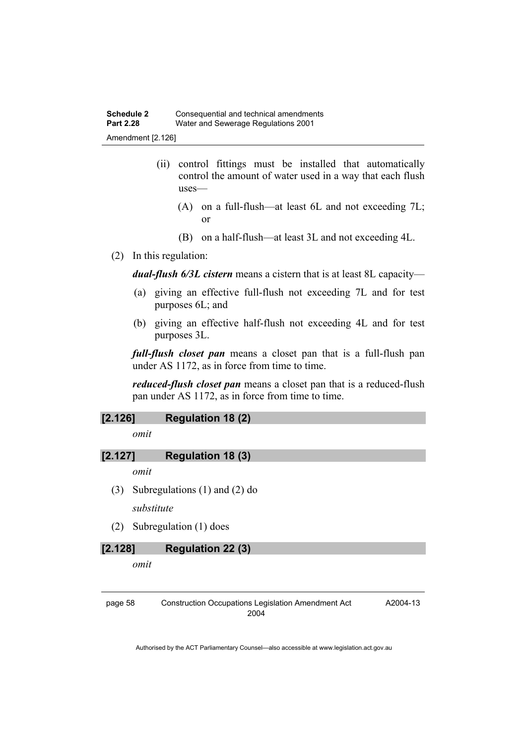- (ii) control fittings must be installed that automatically control the amount of water used in a way that each flush uses—
	- (A) on a full-flush—at least 6L and not exceeding 7L; or
	- (B) on a half-flush—at least 3L and not exceeding 4L.
- (2) In this regulation:

*dual-flush 6/3L cistern* means a cistern that is at least 8L capacity—

- (a) giving an effective full-flush not exceeding 7L and for test purposes 6L; and
- (b) giving an effective half-flush not exceeding 4L and for test purposes 3L.

*full-flush closet pan* means a closet pan that is a full-flush pan under AS 1172, as in force from time to time.

*reduced-flush closet pan* means a closet pan that is a reduced-flush pan under AS 1172, as in force from time to time.

### **[2.126] Regulation 18 (2)**

*omit* 

### **[2.127] Regulation 18 (3)**

*omit* 

(3) Subregulations (1) and (2) do

*substitute* 

(2) Subregulation (1) does

### **[2.128] Regulation 22 (3)**

*omit* 

page 58 Construction Occupations Legislation Amendment Act 2004

A2004-13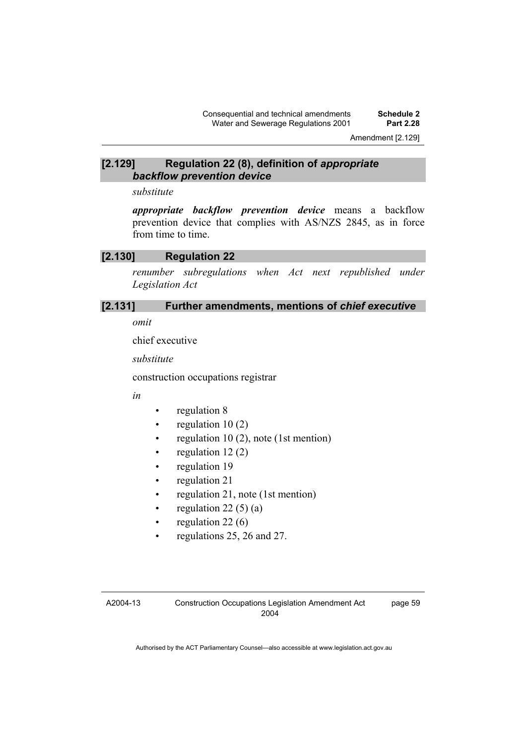#### **[2.129] Regulation 22 (8), definition of** *appropriate backflow prevention device*

#### *substitute*

*appropriate backflow prevention device* means a backflow prevention device that complies with AS/NZS 2845, as in force from time to time.

### **[2.130] Regulation 22**

*renumber subregulations when Act next republished under Legislation Act* 

## **[2.131] Further amendments, mentions of** *chief executive*

*omit* 

chief executive

*substitute* 

construction occupations registrar

*in* 

- regulation 8
- regulation  $10(2)$
- regulation 10 (2), note (1st mention)
- regulation  $12(2)$
- regulation 19
- regulation 21
- regulation 21, note (1st mention)
- regulation 22 $(5)$  $(a)$
- regulation  $22(6)$
- regulations 25, 26 and 27.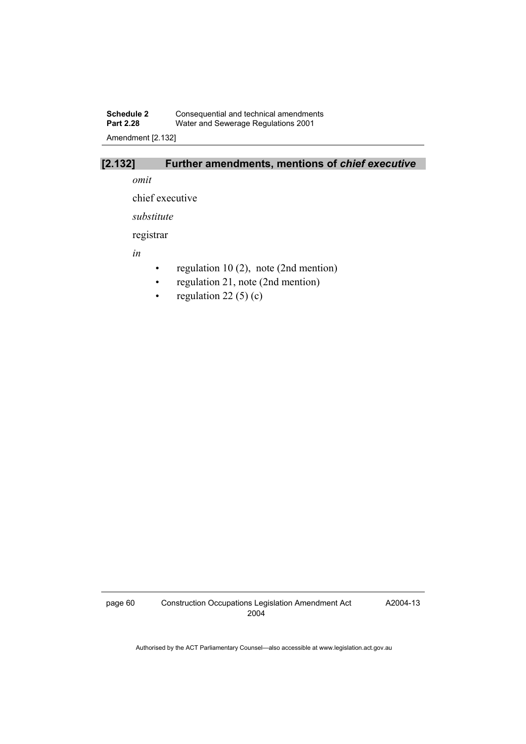## **Schedule 2** Consequential and technical amendments **Part 2.28** Water and Sewerage Regulations 2001

Amendment [2.132]

## **[2.132] Further amendments, mentions of** *chief executive*

*omit* 

chief executive

*substitute* 

registrar

*in* 

- regulation 10 (2), note (2nd mention)
- regulation 21, note (2nd mention)
- regulation 22 $(5)(c)$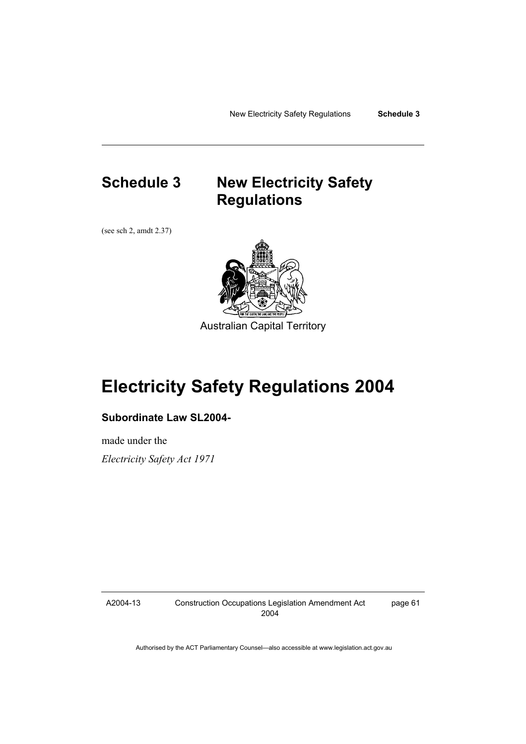## **Schedule 3 New Electricity Safety Regulations**

(see sch 2, amdt 2.37)



Australian Capital Territory

# **Electricity Safety Regulations 2004**

## **Subordinate Law SL2004-**

made under the *Electricity Safety Act 1971* 

A2004-13

Construction Occupations Legislation Amendment Act 2004

page 61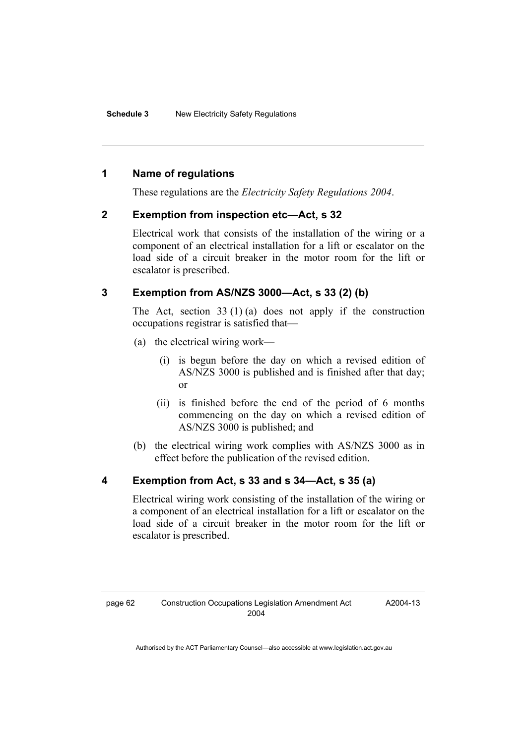## **1 Name of regulations**

These regulations are the *Electricity Safety Regulations 2004*.

## **2 Exemption from inspection etc—Act, s 32**

Electrical work that consists of the installation of the wiring or a component of an electrical installation for a lift or escalator on the load side of a circuit breaker in the motor room for the lift or escalator is prescribed.

## **3 Exemption from AS/NZS 3000—Act, s 33 (2) (b)**

The Act, section  $33(1)(a)$  does not apply if the construction occupations registrar is satisfied that—

- (a) the electrical wiring work—
	- (i) is begun before the day on which a revised edition of AS/NZS 3000 is published and is finished after that day; or
	- (ii) is finished before the end of the period of 6 months commencing on the day on which a revised edition of AS/NZS 3000 is published; and
- (b) the electrical wiring work complies with AS/NZS 3000 as in effect before the publication of the revised edition.

## **4 Exemption from Act, s 33 and s 34—Act, s 35 (a)**

Electrical wiring work consisting of the installation of the wiring or a component of an electrical installation for a lift or escalator on the load side of a circuit breaker in the motor room for the lift or escalator is prescribed.

A2004-13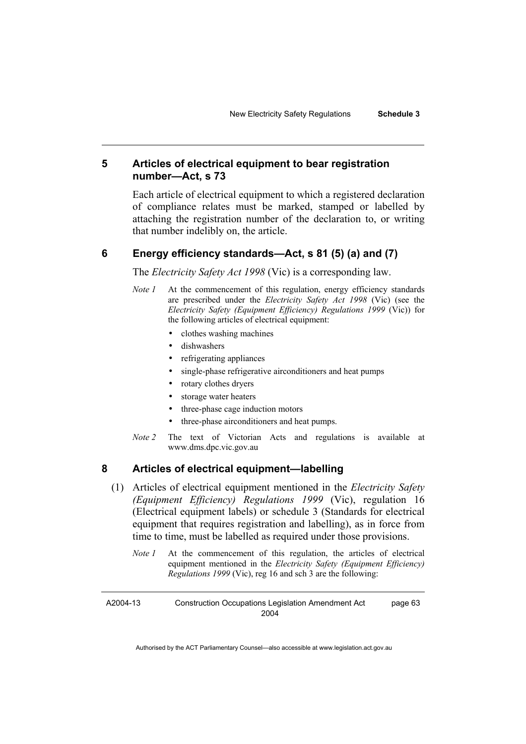## **5 Articles of electrical equipment to bear registration number—Act, s 73**

Each article of electrical equipment to which a registered declaration of compliance relates must be marked, stamped or labelled by attaching the registration number of the declaration to, or writing that number indelibly on, the article.

#### **6 Energy efficiency standards—Act, s 81 (5) (a) and (7)**

The *Electricity Safety Act 1998* (Vic) is a corresponding law.

- *Note 1* At the commencement of this regulation, energy efficiency standards are prescribed under the *Electricity Safety Act 1998* (Vic) (see the *Electricity Safety (Equipment Efficiency) Regulations 1999* (Vic)) for the following articles of electrical equipment:
	- clothes washing machines
	- dishwashers
	- refrigerating appliances
	- single-phase refrigerative airconditioners and heat pumps
	- rotary clothes dryers
	- storage water heaters
	- three-phase cage induction motors
	- three-phase airconditioners and heat pumps.
- *Note 2* The text of Victorian Acts and regulations is available at www.dms.dpc.vic.gov.au

### **8 Articles of electrical equipment—labelling**

- (1) Articles of electrical equipment mentioned in the *Electricity Safety (Equipment Efficiency) Regulations 1999* (Vic), regulation 16 (Electrical equipment labels) or schedule 3 (Standards for electrical equipment that requires registration and labelling), as in force from time to time, must be labelled as required under those provisions.
	- *Note 1* At the commencement of this regulation, the articles of electrical equipment mentioned in the *Electricity Safety (Equipment Efficiency) Regulations 1999* (Vic), reg 16 and sch 3 are the following:

A2004-13 Construction Occupations Legislation Amendment Act 2004 page 63